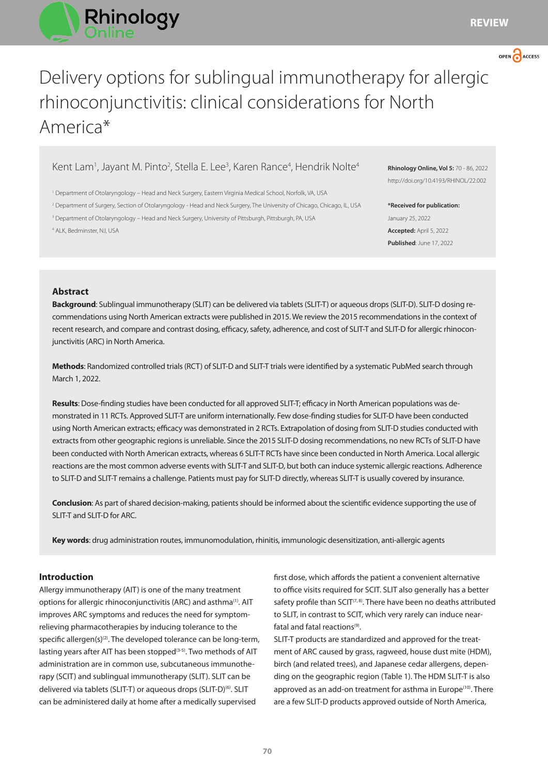



# Delivery options for sublingual immunotherapy for allergic rhinoconjunctivitis: clinical considerations for North America\*

# Kent Lam<sup>1</sup>, Jayant M. Pinto<sup>2</sup>, Stella E. Lee<sup>3</sup>, Karen Rance<sup>4</sup>, Hendrik Nolte<sup>4</sup>

1 Department of Otolaryngology – Head and Neck Surgery, Eastern Virginia Medical School, Norfolk, VA, USA

2 Department of Surgery, Section of Otolaryngology - Head and Neck Surgery, The University of Chicago, Chicago, IL, USA

3 Department of Otolaryngology – Head and Neck Surgery, University of Pittsburgh, Pittsburgh, PA, USA

4 ALK, Bedminster, NJ, USA

**Rhinology Online, Vol 5:** 70 - 86, 2022 http://doi.org/10.4193/RHINOL/22.002

**\*Received for publication:** January 25, 2022 **Accepted:** April 5, 2022 **Published**: June 17, 2022

## **Abstract**

**Background**: Sublingual immunotherapy (SLIT) can be delivered via tablets (SLIT-T) or aqueous drops (SLIT-D). SLIT-D dosing recommendations using North American extracts were published in 2015. We review the 2015 recommendations in the context of recent research, and compare and contrast dosing, efficacy, safety, adherence, and cost of SLIT-T and SLIT-D for allergic rhinoconjunctivitis (ARC) in North America.

**Methods**: Randomized controlled trials (RCT) of SLIT-D and SLIT-T trials were identified by a systematic PubMed search through March 1, 2022.

**Results**: Dose-finding studies have been conducted for all approved SLIT-T; efficacy in North American populations was demonstrated in 11 RCTs. Approved SLIT-T are uniform internationally. Few dose-finding studies for SLIT-D have been conducted using North American extracts; efficacy was demonstrated in 2 RCTs. Extrapolation of dosing from SLIT-D studies conducted with extracts from other geographic regions is unreliable. Since the 2015 SLIT-D dosing recommendations, no new RCTs of SLIT-D have been conducted with North American extracts, whereas 6 SLIT-T RCTs have since been conducted in North America. Local allergic reactions are the most common adverse events with SLIT-T and SLIT-D, but both can induce systemic allergic reactions. Adherence to SLIT-D and SLIT-T remains a challenge. Patients must pay for SLIT-D directly, whereas SLIT-T is usually covered by insurance.

**Conclusion**: As part of shared decision-making, patients should be informed about the scientific evidence supporting the use of SLIT-T and SLIT-D for ARC.

**Key words**: drug administration routes, immunomodulation, rhinitis, immunologic desensitization, anti-allergic agents

## **Introduction**

Allergy immunotherapy (AIT) is one of the many treatment options for allergic rhinoconjunctivitis (ARC) and asthma<sup>(1)</sup>. AIT improves ARC symptoms and reduces the need for symptomrelieving pharmacotherapies by inducing tolerance to the specific allergen(s)<sup>(2)</sup>. The developed tolerance can be long-term, lasting years after AIT has been stopped<sup>(3-5)</sup>. Two methods of AIT administration are in common use, subcutaneous immunotherapy (SCIT) and sublingual immunotherapy (SLIT). SLIT can be delivered via tablets (SLIT-T) or aqueous drops (SLIT-D)<sup>(6)</sup>. SLIT can be administered daily at home after a medically supervised

first dose, which affords the patient a convenient alternative to office visits required for SCIT. SLIT also generally has a better safety profile than SCIT<sup>(7, 8)</sup>. There have been no deaths attributed to SLIT, in contrast to SCIT, which very rarely can induce nearfatal and fatal reactions<sup>(9)</sup>.

SLIT-T products are standardized and approved for the treatment of ARC caused by grass, ragweed, house dust mite (HDM), birch (and related trees), and Japanese cedar allergens, depending on the geographic region (Table 1). The HDM SLIT-T is also approved as an add-on treatment for asthma in Europe<sup>(10)</sup>. There are a few SLIT-D products approved outside of North America,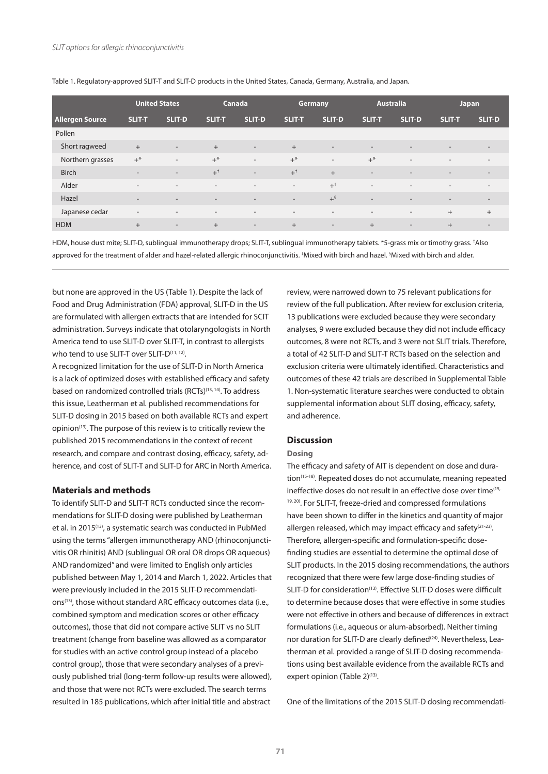|                        | <b>United States</b>     |                          |                          | Canada                   |                          | <b>Germany</b>               | <b>Australia</b>         |                              | Japan                    |                          |
|------------------------|--------------------------|--------------------------|--------------------------|--------------------------|--------------------------|------------------------------|--------------------------|------------------------------|--------------------------|--------------------------|
| <b>Allergen Source</b> | <b>SLIT-T</b>            | SLIT-D                   | <b>SLIT-T</b>            | SLIT-D                   | <b>SLIT-T</b>            | <b>SLIT-D</b>                | <b>SLIT-T</b>            | <b>SLIT-D</b>                | <b>SLIT-T</b>            | SLIT-D                   |
| Pollen                 |                          |                          |                          |                          |                          |                              |                          |                              |                          |                          |
| Short ragweed          | $+$                      | $\overline{\phantom{a}}$ | $+$                      | $\overline{\phantom{a}}$ | $+$                      | $\overline{\phantom{a}}$     | $\overline{\phantom{a}}$ | $\overline{\phantom{a}}$     | $\overline{\phantom{a}}$ | $\overline{\phantom{a}}$ |
| Northern grasses       | $+$ *                    | $\overline{a}$           | $+^*$                    | $\sim$                   | $+^*$                    | $\overline{\phantom{a}}$     | $+^*$                    | $\overline{\phantom{a}}$     | $\overline{a}$           | $\overline{\phantom{a}}$ |
| <b>Birch</b>           | $\overline{\phantom{a}}$ | $\overline{\phantom{a}}$ | $+^{\dagger}$            | $\overline{\phantom{a}}$ | $+$ <sup>+</sup>         | $+$                          | $\overline{\phantom{a}}$ | $\qquad \qquad \blacksquare$ | $\overline{\phantom{a}}$ | $\overline{\phantom{a}}$ |
| Alder                  | $\overline{\phantom{a}}$ | $\overline{\phantom{a}}$ | $\overline{\phantom{a}}$ | $\sim$                   | $\overline{\phantom{a}}$ | $+^*$                        | $\overline{\phantom{a}}$ | $\overline{\phantom{a}}$     | $\overline{\phantom{a}}$ | $\sim$                   |
| Hazel                  | $\overline{\phantom{a}}$ | $\sim$                   | $\sim$                   | $\overline{\phantom{a}}$ | $\overline{\phantom{a}}$ | $+^{\S}$                     | $\overline{\phantom{a}}$ | $\overline{\phantom{a}}$     | $\overline{\phantom{a}}$ | $\sim$                   |
| Japanese cedar         | $\overline{\phantom{a}}$ | $\overline{\phantom{a}}$ | $\overline{\phantom{a}}$ | $\sim$                   | $\overline{\phantom{a}}$ | $\qquad \qquad \blacksquare$ | $\overline{\phantom{a}}$ | $\overline{\phantom{a}}$     | $^{+}$                   | $+$                      |
| <b>HDM</b>             | $+$                      | $\overline{\phantom{a}}$ | $+$                      | $\sim$                   | $+$                      | $\overline{\phantom{a}}$     | $+$                      | $\overline{\phantom{a}}$     | $^{+}$                   | $\overline{\phantom{a}}$ |

Table 1. Regulatory-approved SLIT-T and SLIT-D products in the United States, Canada, Germany, Australia, and Japan.

HDM, house dust mite; SLIT-D, sublingual immunotherapy drops; SLIT-T, sublingual immunotherapy tablets. \*5-grass mix or timothy grass. † Also approved for the treatment of alder and hazel-related allergic rhinoconjunctivitis. ‡ Mixed with birch and hazel. § Mixed with birch and alder.

but none are approved in the US (Table 1). Despite the lack of Food and Drug Administration (FDA) approval, SLIT-D in the US are formulated with allergen extracts that are intended for SCIT administration. Surveys indicate that otolaryngologists in North America tend to use SLIT-D over SLIT-T, in contrast to allergists who tend to use SLIT-T over SLIT-D<sup>(11, 12)</sup>.

A recognized limitation for the use of SLIT-D in North America is a lack of optimized doses with established efficacy and safety based on randomized controlled trials (RCTs)(13, 14). To address this issue, Leatherman et al. published recommendations for SLIT-D dosing in 2015 based on both available RCTs and expert opinion(13). The purpose of this review is to critically review the published 2015 recommendations in the context of recent research, and compare and contrast dosing, efficacy, safety, adherence, and cost of SLIT-T and SLIT-D for ARC in North America.

## **Materials and methods**

To identify SLIT-D and SLIT-T RCTs conducted since the recommendations for SLIT-D dosing were published by Leatherman et al. in 2015<sup>(13)</sup>, a systematic search was conducted in PubMed using the terms "allergen immunotherapy AND (rhinoconjunctivitis OR rhinitis) AND (sublingual OR oral OR drops OR aqueous) AND randomized" and were limited to English only articles published between May 1, 2014 and March 1, 2022. Articles that were previously included in the 2015 SLIT-D recommendations<sup>(13)</sup>, those without standard ARC efficacy outcomes data (i.e., combined symptom and medication scores or other efficacy outcomes), those that did not compare active SLIT vs no SLIT treatment (change from baseline was allowed as a comparator for studies with an active control group instead of a placebo control group), those that were secondary analyses of a previously published trial (long-term follow-up results were allowed), and those that were not RCTs were excluded. The search terms resulted in 185 publications, which after initial title and abstract

review, were narrowed down to 75 relevant publications for review of the full publication. After review for exclusion criteria, 13 publications were excluded because they were secondary analyses, 9 were excluded because they did not include efficacy outcomes, 8 were not RCTs, and 3 were not SLIT trials. Therefore, a total of 42 SLIT-D and SLIT-T RCTs based on the selection and exclusion criteria were ultimately identified. Characteristics and outcomes of these 42 trials are described in Supplemental Table 1. Non-systematic literature searches were conducted to obtain supplemental information about SLIT dosing, efficacy, safety, and adherence.

## **Discussion**

#### **Dosing**

The efficacy and safety of AIT is dependent on dose and duration<sup>(15-18)</sup>. Repeated doses do not accumulate, meaning repeated ineffective doses do not result in an effective dose over time<sup>(15,</sup> 19, 20). For SLIT-T, freeze-dried and compressed formulations have been shown to differ in the kinetics and quantity of major allergen released, which may impact efficacy and safety $(21-23)$ . Therefore, allergen-specific and formulation-specific dosefinding studies are essential to determine the optimal dose of SLIT products. In the 2015 dosing recommendations, the authors recognized that there were few large dose-finding studies of SLIT-D for consideration<sup>(13)</sup>. Effective SLIT-D doses were difficult to determine because doses that were effective in some studies were not effective in others and because of differences in extract formulations (i.e., aqueous or alum-absorbed). Neither timing nor duration for SLIT-D are clearly defined<sup>(24)</sup>. Nevertheless, Leatherman et al. provided a range of SLIT-D dosing recommendations using best available evidence from the available RCTs and expert opinion (Table 2)<sup>(13)</sup>.

One of the limitations of the 2015 SLIT-D dosing recommendati-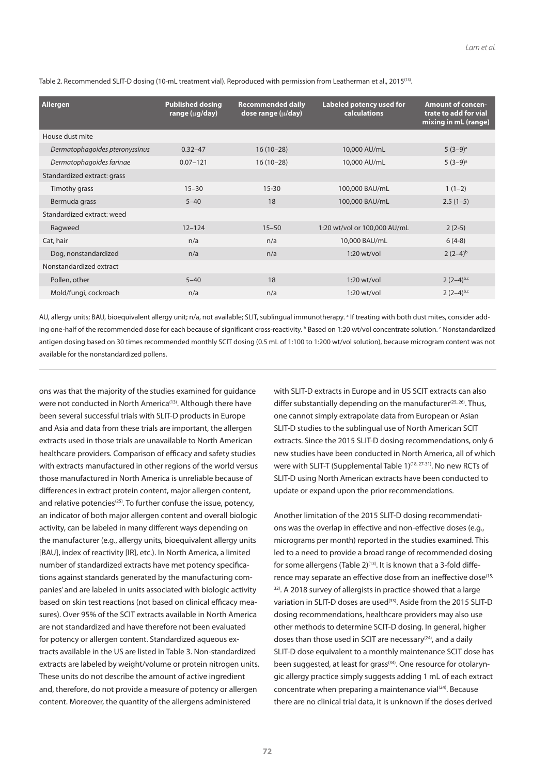| Allergen                       | <b>Published dosing</b><br>range (µg/day) | <b>Recommended daily</b><br>dose range $(\mu/day)$ | <b>Labeled potency used for</b><br><b>calculations</b> | <b>Amount of concen-</b><br>trate to add for vial<br>mixing in mL (range) |
|--------------------------------|-------------------------------------------|----------------------------------------------------|--------------------------------------------------------|---------------------------------------------------------------------------|
| House dust mite                |                                           |                                                    |                                                        |                                                                           |
| Dermatophagoides pteronyssinus | $0.32 - 47$                               | $16(10-28)$                                        | 10,000 AU/mL                                           | $5(3-9)$ <sup>a</sup>                                                     |
| Dermatophagoides farinae       | $0.07 - 121$                              | $16(10-28)$                                        | 10,000 AU/mL                                           | $5(3-9)$ <sup>a</sup>                                                     |
| Standardized extract: grass    |                                           |                                                    |                                                        |                                                                           |
| Timothy grass                  | $15 - 30$                                 | $15 - 30$                                          | 100,000 BAU/mL                                         | $1(1-2)$                                                                  |
| Bermuda grass                  | $5 - 40$                                  | 18                                                 | 100,000 BAU/mL                                         | $2.5(1-5)$                                                                |
| Standardized extract: weed     |                                           |                                                    |                                                        |                                                                           |
| Ragweed                        | $12 - 124$                                | $15 - 50$                                          | 1:20 wt/vol or 100,000 AU/mL                           | $2(2-5)$                                                                  |
| Cat, hair                      | n/a                                       | n/a                                                | 10,000 BAU/mL                                          | $6(4-8)$                                                                  |
| Dog, nonstandardized           | n/a                                       | n/a                                                | $1:20$ wt/vol                                          | $2(2-4)b$                                                                 |
| Nonstandardized extract        |                                           |                                                    |                                                        |                                                                           |
| Pollen, other                  | $5 - 40$                                  | 18                                                 | $1:20$ wt/vol                                          | $2(2-4)^{b,c}$                                                            |
| Mold/fungi, cockroach          | n/a                                       | n/a                                                | $1:20$ wt/vol                                          | $2(2-4)^{b,c}$                                                            |

Table 2. Recommended SLIT-D dosing (10-mL treatment vial). Reproduced with permission from Leatherman et al., 2015(13).

AU, allergy units; BAU, bioequivalent allergy unit; n/a, not available; SLIT, sublingual immunotherapy. <sup>a</sup> If treating with both dust mites, consider adding one-half of the recommended dose for each because of significant cross-reactivity. bBased on 1:20 wt/vol concentrate solution. SNonstandardized antigen dosing based on 30 times recommended monthly SCIT dosing (0.5 mL of 1:100 to 1:200 wt/vol solution), because microgram content was not available for the nonstandardized pollens.

ons was that the majority of the studies examined for guidance were not conducted in North America<sup>(13)</sup>. Although there have been several successful trials with SLIT-D products in Europe and Asia and data from these trials are important, the allergen extracts used in those trials are unavailable to North American healthcare providers. Comparison of efficacy and safety studies with extracts manufactured in other regions of the world versus those manufactured in North America is unreliable because of differences in extract protein content, major allergen content, and relative potencies<sup> $(25)$ </sup>. To further confuse the issue, potency, an indicator of both major allergen content and overall biologic activity, can be labeled in many different ways depending on the manufacturer (e.g., allergy units, bioequivalent allergy units [BAU], index of reactivity [IR], etc.). In North America, a limited number of standardized extracts have met potency specifications against standards generated by the manufacturing companies' and are labeled in units associated with biologic activity based on skin test reactions (not based on clinical efficacy measures). Over 95% of the SCIT extracts available in North America are not standardized and have therefore not been evaluated for potency or allergen content. Standardized aqueous extracts available in the US are listed in Table 3. Non-standardized extracts are labeled by weight/volume or protein nitrogen units. These units do not describe the amount of active ingredient and, therefore, do not provide a measure of potency or allergen content. Moreover, the quantity of the allergens administered

with SLIT-D extracts in Europe and in US SCIT extracts can also differ substantially depending on the manufacturer<sup>(25, 26)</sup>. Thus, one cannot simply extrapolate data from European or Asian SLIT-D studies to the sublingual use of North American SCIT extracts. Since the 2015 SLIT-D dosing recommendations, only 6 new studies have been conducted in North America, all of which were with SLIT-T (Supplemental Table 1)<sup>(18, 27-31)</sup>. No new RCTs of SLIT-D using North American extracts have been conducted to update or expand upon the prior recommendations.

Another limitation of the 2015 SLIT-D dosing recommendations was the overlap in effective and non-effective doses (e.g., micrograms per month) reported in the studies examined. This led to a need to provide a broad range of recommended dosing for some allergens (Table 2) $(13)$ . It is known that a 3-fold difference may separate an effective dose from an ineffective dose<sup>(15,</sup> <sup>32)</sup>. A 2018 survey of allergists in practice showed that a large variation in SLIT-D doses are used<sup>(33)</sup>. Aside from the 2015 SLIT-D dosing recommendations, healthcare providers may also use other methods to determine SCIT-D dosing. In general, higher doses than those used in SCIT are necessary $(24)$ , and a daily SLIT-D dose equivalent to a monthly maintenance SCIT dose has been suggested, at least for grass<sup>(34)</sup>. One resource for otolaryngic allergy practice simply suggests adding 1 mL of each extract concentrate when preparing a maintenance vial<sup>(24)</sup>. Because there are no clinical trial data, it is unknown if the doses derived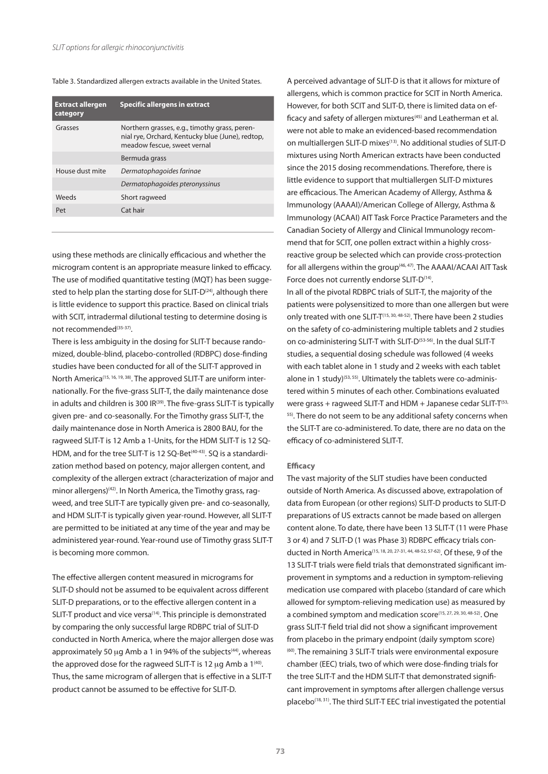#### Table 3. Standardized allergen extracts available in the United States.

| <b>Extract allergen</b><br>category | <b>Specific allergens in extract</b>                                                                                             |
|-------------------------------------|----------------------------------------------------------------------------------------------------------------------------------|
| Grasses                             | Northern grasses, e.g., timothy grass, peren-<br>nial rye, Orchard, Kentucky blue (June), redtop,<br>meadow fescue, sweet vernal |
|                                     | Bermuda grass                                                                                                                    |
| House dust mite                     | Dermatophagoides farinae                                                                                                         |
|                                     | Dermatophagoides pteronyssinus                                                                                                   |
| <b>Weeds</b>                        | Short ragweed                                                                                                                    |
| Pet                                 | Cat hair                                                                                                                         |
|                                     |                                                                                                                                  |

using these methods are clinically efficacious and whether the microgram content is an appropriate measure linked to efficacy. The use of modified quantitative testing (MQT) has been suggested to help plan the starting dose for SLIT-D<sup>(24)</sup>, although there is little evidence to support this practice. Based on clinical trials with SCIT, intradermal dilutional testing to determine dosing is not recommended<sup>(35-37)</sup>.

There is less ambiguity in the dosing for SLIT-T because randomized, double-blind, placebo-controlled (RDBPC) dose-finding studies have been conducted for all of the SLIT-T approved in North America<sup>(15, 16, 19, 38)</sup>. The approved SLIT-T are uniform internationally. For the five-grass SLIT-T, the daily maintenance dose in adults and children is 300 IR<sup>(39)</sup>. The five-grass SLIT-T is typically given pre- and co-seasonally. For the Timothy grass SLIT-T, the daily maintenance dose in North America is 2800 BAU, for the ragweed SLIT-T is 12 Amb a 1-Units, for the HDM SLIT-T is 12 SQ-HDM, and for the tree SLIT-T is 12 SQ-Bet<sup>(40-43)</sup>. SQ is a standardization method based on potency, major allergen content, and complexity of the allergen extract (characterization of major and minor allergens)<sup>(42)</sup>. In North America, the Timothy grass, ragweed, and tree SLIT-T are typically given pre- and co-seasonally, and HDM SLIT-T is typically given year-round. However, all SLIT-T are permitted to be initiated at any time of the year and may be administered year-round. Year-round use of Timothy grass SLIT-T is becoming more common.

The effective allergen content measured in micrograms for SLIT-D should not be assumed to be equivalent across different SLIT-D preparations, or to the effective allergen content in a SLIT-T product and vice versa<sup>(14)</sup>. This principle is demonstrated by comparing the only successful large RDBPC trial of SLIT-D conducted in North America, where the major allergen dose was approximately 50  $\mu$ g Amb a 1 in 94% of the subjects<sup>(44)</sup>, whereas the approved dose for the ragweed SLIT-T is 12  $\mu$ g Amb a 1<sup>(40)</sup>. Thus, the same microgram of allergen that is effective in a SLIT-T product cannot be assumed to be effective for SLIT-D.

A perceived advantage of SLIT-D is that it allows for mixture of allergens, which is common practice for SCIT in North America. However, for both SCIT and SLIT-D, there is limited data on efficacy and safety of allergen mixtures<sup>(45)</sup> and Leatherman et al. were not able to make an evidenced-based recommendation on multiallergen SLIT-D mixes<sup>(13)</sup>. No additional studies of SLIT-D mixtures using North American extracts have been conducted since the 2015 dosing recommendations. Therefore, there is little evidence to support that multiallergen SLIT-D mixtures are efficacious. The American Academy of Allergy, Asthma & Immunology (AAAAI)/American College of Allergy, Asthma & Immunology (ACAAI) AIT Task Force Practice Parameters and the Canadian Society of Allergy and Clinical Immunology recommend that for SCIT, one pollen extract within a highly crossreactive group be selected which can provide cross-protection for all allergens within the group<sup>(46, 47)</sup>. The AAAAI/ACAAI AIT Task Force does not currently endorse SLIT-D<sup>(14)</sup>.

In all of the pivotal RDBPC trials of SLIT-T, the majority of the patients were polysensitized to more than one allergen but were only treated with one SLIT-T<sup>(15, 30, 48-52)</sup>. There have been 2 studies on the safety of co-administering multiple tablets and 2 studies on co-administering SLIT-T with SLIT-D<sup>(53-56)</sup>. In the dual SLIT-T studies, a sequential dosing schedule was followed (4 weeks with each tablet alone in 1 study and 2 weeks with each tablet alone in 1 study)<sup>(53, 55)</sup>. Ultimately the tablets were co-administered within 5 minutes of each other. Combinations evaluated were grass + ragweed SLIT-T and HDM + Japanese cedar SLIT- $T^{(53)}$ 55). There do not seem to be any additional safety concerns when the SLIT-T are co-administered. To date, there are no data on the efficacy of co-administered SLIT-T.

## **Efficacy**

The vast majority of the SLIT studies have been conducted outside of North America. As discussed above, extrapolation of data from European (or other regions) SLIT-D products to SLIT-D preparations of US extracts cannot be made based on allergen content alone. To date, there have been 13 SLIT-T (11 were Phase 3 or 4) and 7 SLIT-D (1 was Phase 3) RDBPC efficacy trials conducted in North America<sup>(15, 18, 20, 27-31, 44, 48-52, 57-62)</sup>. Of these, 9 of the 13 SLIT-T trials were field trials that demonstrated significant improvement in symptoms and a reduction in symptom-relieving medication use compared with placebo (standard of care which allowed for symptom-relieving medication use) as measured by a combined symptom and medication score<sup>(15, 27, 29, 30, 48-52)</sup>. One grass SLIT-T field trial did not show a significant improvement from placebo in the primary endpoint (daily symptom score) (60). The remaining 3 SLIT-T trials were environmental exposure chamber (EEC) trials, two of which were dose-finding trials for the tree SLIT-T and the HDM SLIT-T that demonstrated significant improvement in symptoms after allergen challenge versus placebo(18, 31). The third SLIT-T EEC trial investigated the potential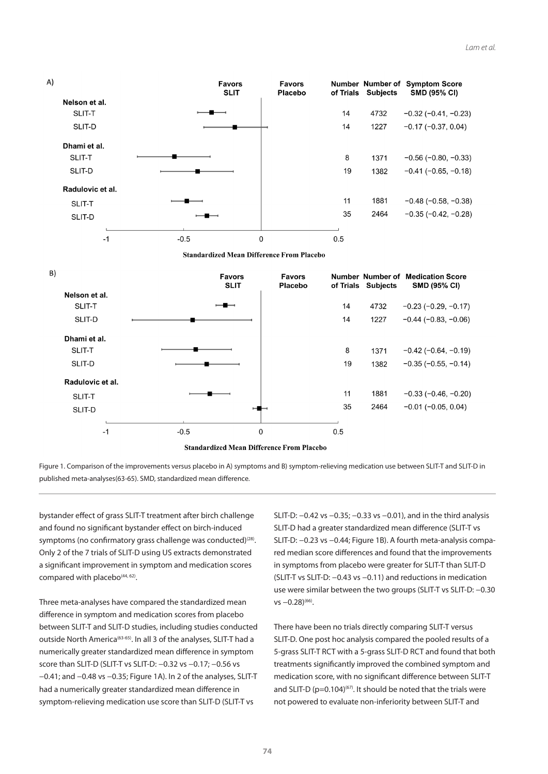





bystander effect of grass SLIT-T treatment after birch challenge and found no significant bystander effect on birch-induced symptoms (no confirmatory grass challenge was conducted)<sup>(28)</sup>. Only 2 of the 7 trials of SLIT-D using US extracts demonstrated a significant improvement in symptom and medication scores compared with placebo<sup>(44, 62)</sup>.

Three meta-analyses have compared the standardized mean difference in symptom and medication scores from placebo between SLIT-T and SLIT-D studies, including studies conducted outside North America<sup>(63-65)</sup>. In all 3 of the analyses, SLIT-T had a numerically greater standardized mean difference in symptom score than SLIT-D (SLIT-T vs SLIT-D: -0.32 vs -0.17; -0.56 vs −0.41; and −0.48 vs −0.35; Figure 1A). In 2 of the analyses, SLIT-T had a numerically greater standardized mean difference in symptom-relieving medication use score than SLIT-D (SLIT-T vs

SLIT-D: −0.42 vs −0.35; −0.33 vs −0.01), and in the third analysis SLIT-D had a greater standardized mean difference (SLIT-T vs SLIT-D: −0.23 vs −0.44; Figure 1B). A fourth meta-analysis compared median score differences and found that the improvements in symptoms from placebo were greater for SLIT-T than SLIT-D (SLIT-T vs SLIT-D: −0.43 vs −0.11) and reductions in medication use were similar between the two groups (SLIT-T vs SLIT-D: −0.30 vs -0.28)<sup>(66)</sup>.

There have been no trials directly comparing SLIT-T versus SLIT-D. One post hoc analysis compared the pooled results of a 5-grass SLIT-T RCT with a 5-grass SLIT-D RCT and found that both treatments significantly improved the combined symptom and medication score, with no significant difference between SLIT-T and SLIT-D ( $p=0.104$ )<sup>(67)</sup>. It should be noted that the trials were not powered to evaluate non-inferiority between SLIT-T and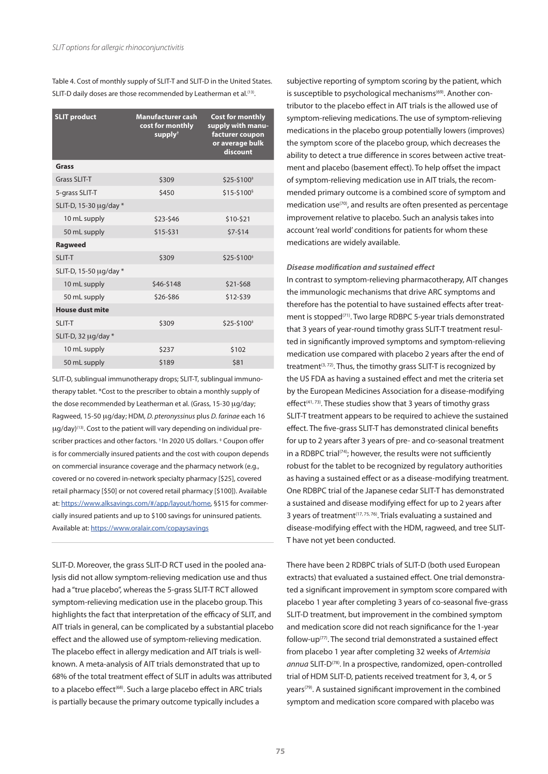Table 4. Cost of monthly supply of SLIT-T and SLIT-D in the United States. SLIT-D daily doses are those recommended by Leatherman et al.<sup>(13)</sup>.

| <b>SLIT product</b>    | <b>Manufacturer cash</b><br>cost for monthly<br>supply <sup>+</sup> | <b>Cost for monthly</b><br>supply with manu-<br>facturer coupon<br>or average bulk<br>discount |
|------------------------|---------------------------------------------------------------------|------------------------------------------------------------------------------------------------|
| Grass                  |                                                                     |                                                                                                |
| <b>Grass SLIT-T</b>    | \$309                                                               | \$25-\$100 <sup>#</sup>                                                                        |
| 5-grass SLIT-T         | \$450                                                               | \$15-\$100 <sup>§</sup>                                                                        |
| SLIT-D, 15-30 µg/day * |                                                                     |                                                                                                |
| 10 mL supply           | \$23-\$46                                                           | \$10-\$21                                                                                      |
| 50 mL supply           | \$15-\$31                                                           | $$7-514$                                                                                       |
| <b>Ragweed</b>         |                                                                     |                                                                                                |
| <b>SLIT-T</b>          | \$309                                                               | \$25-\$100 <sup>#</sup>                                                                        |
| SLIT-D, 15-50 µg/day * |                                                                     |                                                                                                |
| 10 mL supply           | \$46-\$148                                                          | \$21-\$68                                                                                      |
| 50 mL supply           | \$26-\$86                                                           | \$12-\$39                                                                                      |
| <b>House dust mite</b> |                                                                     |                                                                                                |
| SLIT-T                 | \$309                                                               | \$25-\$100 <sup>#</sup>                                                                        |
| SLIT-D, 32 µg/day *    |                                                                     |                                                                                                |
| 10 mL supply           | \$237                                                               | \$102                                                                                          |
| 50 mL supply           | \$189                                                               | \$81                                                                                           |

SLIT-D, sublingual immunotherapy drops; SLIT-T, sublingual immunotherapy tablet. \*Cost to the prescriber to obtain a monthly supply of the dose recommended by Leatherman et al. (Grass, 15-30 µg/day; Ragweed, 15-50 mg/day; HDM, *D. pteronyssinus* plus *D. farinae* each 16  $\mu$ g/day)<sup>(13)</sup>. Cost to the patient will vary depending on individual prescriber practices and other factors. † In 2020 US dollars. ‡ Coupon offer is for commercially insured patients and the cost with coupon depends on commercial insurance coverage and the pharmacy network (e.g., covered or no covered in-network specialty pharmacy [\$25], covered retail pharmacy [\$50] or not covered retail pharmacy [\$100]). Available at: https://www.alksavings.com/#/app/layout/home, §\$15 for commercially insured patients and up to \$100 savings for uninsured patients. Available at: https://www.oralair.com/copaysavings

SLIT-D. Moreover, the grass SLIT-D RCT used in the pooled analysis did not allow symptom-relieving medication use and thus had a "true placebo", whereas the 5-grass SLIT-T RCT allowed symptom-relieving medication use in the placebo group. This highlights the fact that interpretation of the efficacy of SLIT, and AIT trials in general, can be complicated by a substantial placebo effect and the allowed use of symptom-relieving medication. The placebo effect in allergy medication and AIT trials is wellknown. A meta-analysis of AIT trials demonstrated that up to 68% of the total treatment effect of SLIT in adults was attributed to a placebo effect<sup>(68)</sup>. Such a large placebo effect in ARC trials is partially because the primary outcome typically includes a

subjective reporting of symptom scoring by the patient, which is susceptible to psychological mechanisms<sup>(69)</sup>. Another contributor to the placebo effect in AIT trials is the allowed use of symptom-relieving medications. The use of symptom-relieving medications in the placebo group potentially lowers (improves) the symptom score of the placebo group, which decreases the ability to detect a true difference in scores between active treatment and placebo (basement effect). To help offset the impact of symptom-relieving medication use in AIT trials, the recommended primary outcome is a combined score of symptom and medication use<sup>(70)</sup>, and results are often presented as percentage improvement relative to placebo. Such an analysis takes into account 'real world' conditions for patients for whom these medications are widely available.

#### *Disease modification and sustained effect*

In contrast to symptom-relieving pharmacotherapy, AIT changes the immunologic mechanisms that drive ARC symptoms and therefore has the potential to have sustained effects after treatment is stopped<sup>(71)</sup>. Two large RDBPC 5-year trials demonstrated that 3 years of year-round timothy grass SLIT-T treatment resulted in significantly improved symptoms and symptom-relieving medication use compared with placebo 2 years after the end of treatment<sup>(3, 72)</sup>. Thus, the timothy grass SLIT-T is recognized by the US FDA as having a sustained effect and met the criteria set by the European Medicines Association for a disease-modifying  $effect^{(41, 73)}$ . These studies show that 3 years of timothy grass SLIT-T treatment appears to be required to achieve the sustained effect. The five-grass SLIT-T has demonstrated clinical benefits for up to 2 years after 3 years of pre- and co-seasonal treatment in a RDBPC trial $(74)$ ; however, the results were not sufficiently robust for the tablet to be recognized by regulatory authorities as having a sustained effect or as a disease-modifying treatment. One RDBPC trial of the Japanese cedar SLIT-T has demonstrated a sustained and disease modifying effect for up to 2 years after 3 years of treatment<sup> $(17, 75, 76)$ </sup>. Trials evaluating a sustained and disease-modifying effect with the HDM, ragweed, and tree SLIT-T have not yet been conducted.

There have been 2 RDBPC trials of SLIT-D (both used European extracts) that evaluated a sustained effect. One trial demonstrated a significant improvement in symptom score compared with placebo 1 year after completing 3 years of co-seasonal five-grass SLIT-D treatment, but improvement in the combined symptom and medication score did not reach significance for the 1-year follow-up(77). The second trial demonstrated a sustained effect from placebo 1 year after completing 32 weeks of *Artemisia*  annua SLIT-D<sup>(78)</sup>. In a prospective, randomized, open-controlled trial of HDM SLIT-D, patients received treatment for 3, 4, or 5 years(79). A sustained significant improvement in the combined symptom and medication score compared with placebo was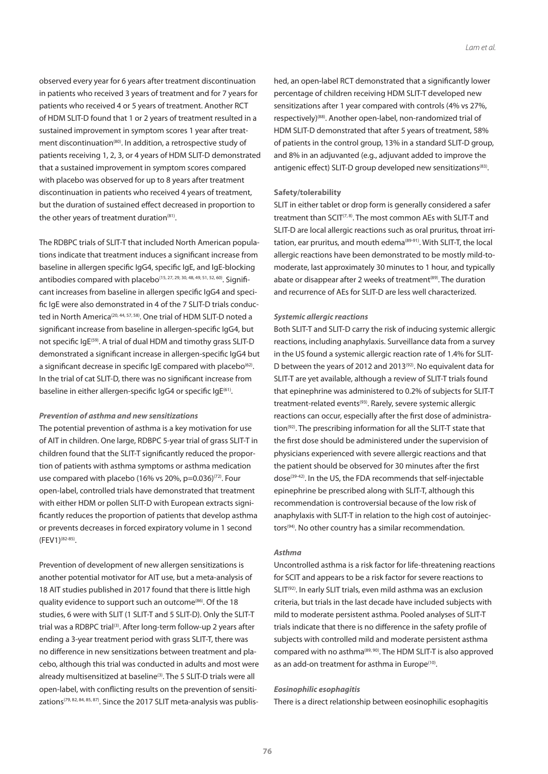observed every year for 6 years after treatment discontinuation in patients who received 3 years of treatment and for 7 years for patients who received 4 or 5 years of treatment. Another RCT of HDM SLIT-D found that 1 or 2 years of treatment resulted in a sustained improvement in symptom scores 1 year after treatment discontinuation<sup>(80)</sup>. In addition, a retrospective study of patients receiving 1, 2, 3, or 4 years of HDM SLIT-D demonstrated that a sustained improvement in symptom scores compared with placebo was observed for up to 8 years after treatment discontinuation in patients who received 4 years of treatment, but the duration of sustained effect decreased in proportion to the other years of treatment duration $(81)$ .

The RDBPC trials of SLIT-T that included North American populations indicate that treatment induces a significant increase from baseline in allergen specific IgG4, specific IgE, and IgE-blocking antibodies compared with placebo<sup>(15, 27, 29, 30, 48, 49, 51, 52, 60)</sup>. Significant increases from baseline in allergen specific IgG4 and specific IgE were also demonstrated in 4 of the 7 SLIT-D trials conducted in North America<sup>(20, 44, 57, 58)</sup>. One trial of HDM SLIT-D noted a significant increase from baseline in allergen-specific IgG4, but not specific IgE<sup>(59)</sup>. A trial of dual HDM and timothy grass SLIT-D demonstrated a significant increase in allergen-specific IgG4 but a significant decrease in specific IgE compared with placebo<sup>(62)</sup>. In the trial of cat SLIT-D, there was no significant increase from baseline in either allergen-specific IgG4 or specific IgE<sup>(61)</sup>.

#### *Prevention of asthma and new sensitizations*

The potential prevention of asthma is a key motivation for use of AIT in children. One large, RDBPC 5-year trial of grass SLIT-T in children found that the SLIT-T significantly reduced the proportion of patients with asthma symptoms or asthma medication use compared with placebo (16% vs 20%, p=0.036)<sup>(72)</sup>. Four open-label, controlled trials have demonstrated that treatment with either HDM or pollen SLIT-D with European extracts significantly reduces the proportion of patients that develop asthma or prevents decreases in forced expiratory volume in 1 second (FEV1)(82-85).

Prevention of development of new allergen sensitizations is another potential motivator for AIT use, but a meta-analysis of 18 AIT studies published in 2017 found that there is little high quality evidence to support such an outcome<sup>(86)</sup>. Of the 18 studies, 6 were with SLIT (1 SLIT-T and 5 SLIT-D). Only the SLIT-T trial was a RDBPC trial<sup>(3)</sup>. After long-term follow-up 2 years after ending a 3-year treatment period with grass SLIT-T, there was no difference in new sensitizations between treatment and placebo, although this trial was conducted in adults and most were already multisensitized at baseline<sup>(3)</sup>. The 5 SLIT-D trials were all open-label, with conflicting results on the prevention of sensitizations<sup> $(79, 82, 84, 85, 87)$ </sup>. Since the 2017 SLIT meta-analysis was publis-

hed, an open-label RCT demonstrated that a significantly lower percentage of children receiving HDM SLIT-T developed new sensitizations after 1 year compared with controls (4% vs 27%, respectively)<sup>(88)</sup>. Another open-label, non-randomized trial of HDM SLIT-D demonstrated that after 5 years of treatment, 58% of patients in the control group, 13% in a standard SLIT-D group, and 8% in an adjuvanted (e.g., adjuvant added to improve the antigenic effect) SLIT-D group developed new sensitizations<sup>(83)</sup>.

#### **Safety/tolerability**

SLIT in either tablet or drop form is generally considered a safer treatment than  $SCIT^{(7, 8)}$ . The most common AEs with SLIT-T and SLIT-D are local allergic reactions such as oral pruritus, throat irritation, ear pruritus, and mouth edema<sup>(89-91)</sup>. With SLIT-T, the local allergic reactions have been demonstrated to be mostly mild-tomoderate, last approximately 30 minutes to 1 hour, and typically abate or disappear after 2 weeks of treatment<sup>(89)</sup>. The duration and recurrence of AEs for SLIT-D are less well characterized.

#### *Systemic allergic reactions*

Both SLIT-T and SLIT-D carry the risk of inducing systemic allergic reactions, including anaphylaxis. Surveillance data from a survey in the US found a systemic allergic reaction rate of 1.4% for SLIT-D between the years of 2012 and 2013<sup>(92)</sup>. No equivalent data for SLIT-T are yet available, although a review of SLIT-T trials found that epinephrine was administered to 0.2% of subjects for SLIT-T treatment-related events<sup>(93)</sup>. Rarely, severe systemic allergic reactions can occur, especially after the first dose of administration<sup>(92)</sup>. The prescribing information for all the SLIT-T state that the first dose should be administered under the supervision of physicians experienced with severe allergic reactions and that the patient should be observed for 30 minutes after the first dose<sup>(39-42)</sup>. In the US, the FDA recommends that self-injectable epinephrine be prescribed along with SLIT-T, although this recommendation is controversial because of the low risk of anaphylaxis with SLIT-T in relation to the high cost of autoinjectors<sup>(94)</sup>. No other country has a similar recommendation.

#### *Asthma*

Uncontrolled asthma is a risk factor for life-threatening reactions for SCIT and appears to be a risk factor for severe reactions to SLIT<sup>(92)</sup>. In early SLIT trials, even mild asthma was an exclusion criteria, but trials in the last decade have included subjects with mild to moderate persistent asthma. Pooled analyses of SLIT-T trials indicate that there is no difference in the safety profile of subjects with controlled mild and moderate persistent asthma compared with no asthma(89, 90). The HDM SLIT-T is also approved as an add-on treatment for asthma in Europe<sup>(10)</sup>.

#### *Eosinophilic esophagitis*

There is a direct relationship between eosinophilic esophagitis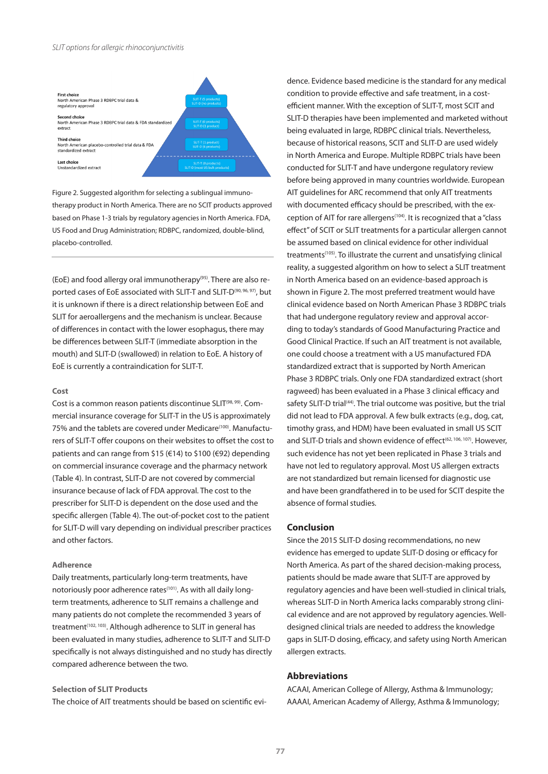

Figure 2. Suggested algorithm for selecting a sublingual immunotherapy product in North America. There are no SCIT products approved based on Phase 1-3 trials by regulatory agencies in North America. FDA, US Food and Drug Administration; RDBPC, randomized, double-blind, placebo-controlled.

(EoE) and food allergy oral immunotherapy(95). There are also reported cases of EoE associated with SLIT-T and SLIT-D<sup>(90, 96, 97)</sup>, but it is unknown if there is a direct relationship between EoE and SLIT for aeroallergens and the mechanism is unclear. Because of differences in contact with the lower esophagus, there may be differences between SLIT-T (immediate absorption in the mouth) and SLIT-D (swallowed) in relation to EoE. A history of EoE is currently a contraindication for SLIT-T.

#### **Cost**

Cost is a common reason patients discontinue SLIT<sup>(98, 99)</sup>. Commercial insurance coverage for SLIT-T in the US is approximately 75% and the tablets are covered under Medicare<sup>(100)</sup>. Manufacturers of SLIT-T offer coupons on their websites to offset the cost to patients and can range from \$15 (€14) to \$100 (€92) depending on commercial insurance coverage and the pharmacy network (Table 4). In contrast, SLIT-D are not covered by commercial insurance because of lack of FDA approval. The cost to the prescriber for SLIT-D is dependent on the dose used and the specific allergen (Table 4). The out-of-pocket cost to the patient for SLIT-D will vary depending on individual prescriber practices and other factors.

#### **Adherence**

Daily treatments, particularly long-term treatments, have notoriously poor adherence rates<sup>(101)</sup>. As with all daily longterm treatments, adherence to SLIT remains a challenge and many patients do not complete the recommended 3 years of treatment<sup>(102, 103)</sup>. Although adherence to SLIT in general has been evaluated in many studies, adherence to SLIT-T and SLIT-D specifically is not always distinguished and no study has directly compared adherence between the two.

## **Selection of SLIT Products**

The choice of AIT treatments should be based on scientific evi-

dence. Evidence based medicine is the standard for any medical condition to provide effective and safe treatment, in a costefficient manner. With the exception of SLIT-T, most SCIT and SLIT-D therapies have been implemented and marketed without being evaluated in large, RDBPC clinical trials. Nevertheless, because of historical reasons, SCIT and SLIT-D are used widely in North America and Europe. Multiple RDBPC trials have been conducted for SLIT-T and have undergone regulatory review before being approved in many countries worldwide. European AIT guidelines for ARC recommend that only AIT treatments with documented efficacy should be prescribed, with the exception of AIT for rare allergens<sup>(104)</sup>. It is recognized that a "class effect" of SCIT or SLIT treatments for a particular allergen cannot be assumed based on clinical evidence for other individual treatments(105). To illustrate the current and unsatisfying clinical reality, a suggested algorithm on how to select a SLIT treatment in North America based on an evidence-based approach is shown in Figure 2. The most preferred treatment would have clinical evidence based on North American Phase 3 RDBPC trials that had undergone regulatory review and approval according to today's standards of Good Manufacturing Practice and Good Clinical Practice. If such an AIT treatment is not available, one could choose a treatment with a US manufactured FDA standardized extract that is supported by North American Phase 3 RDBPC trials. Only one FDA standardized extract (short ragweed) has been evaluated in a Phase 3 clinical efficacy and safety SLIT-D trial<sup>(44)</sup>. The trial outcome was positive, but the trial did not lead to FDA approval. A few bulk extracts (e.g., dog, cat, timothy grass, and HDM) have been evaluated in small US SCIT and SLIT-D trials and shown evidence of effect<sup>(62, 106, 107)</sup>. However, such evidence has not yet been replicated in Phase 3 trials and have not led to regulatory approval. Most US allergen extracts are not standardized but remain licensed for diagnostic use and have been grandfathered in to be used for SCIT despite the absence of formal studies.

## **Conclusion**

Since the 2015 SLIT-D dosing recommendations, no new evidence has emerged to update SLIT-D dosing or efficacy for North America. As part of the shared decision-making process, patients should be made aware that SLIT-T are approved by regulatory agencies and have been well-studied in clinical trials, whereas SLIT-D in North America lacks comparably strong clinical evidence and are not approved by regulatory agencies. Welldesigned clinical trials are needed to address the knowledge gaps in SLIT-D dosing, efficacy, and safety using North American allergen extracts.

## **Abbreviations**

ACAAI, American College of Allergy, Asthma & Immunology; AAAAI, American Academy of Allergy, Asthma & Immunology;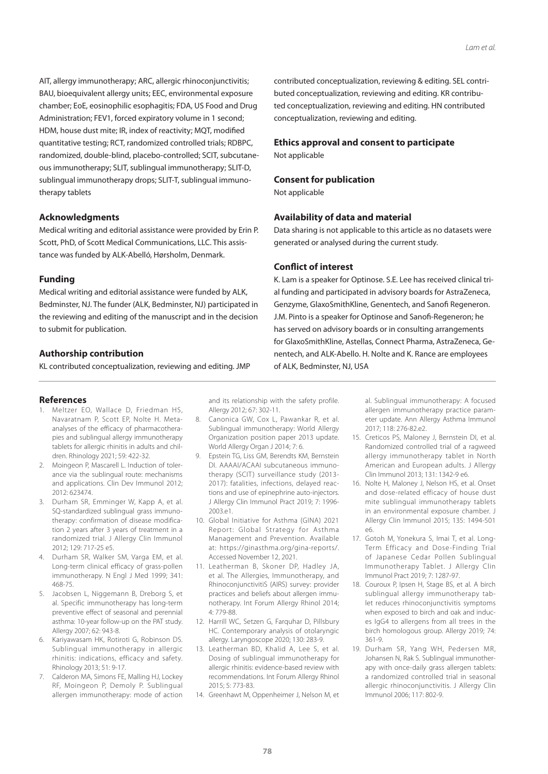AIT, allergy immunotherapy; ARC, allergic rhinoconjunctivitis; BAU, bioequivalent allergy units; EEC, environmental exposure chamber; EoE, eosinophilic esophagitis; FDA, US Food and Drug Administration; FEV1, forced expiratory volume in 1 second; HDM, house dust mite; IR, index of reactivity; MQT, modified quantitative testing; RCT, randomized controlled trials; RDBPC, randomized, double-blind, placebo-controlled; SCIT, subcutaneous immunotherapy; SLIT, sublingual immunotherapy; SLIT-D, sublingual immunotherapy drops; SLIT-T, sublingual immunotherapy tablets

## **Acknowledgments**

Medical writing and editorial assistance were provided by Erin P. Scott, PhD, of Scott Medical Communications, LLC. This assistance was funded by ALK-Abelló, Hørsholm, Denmark.

## **Funding**

Medical writing and editorial assistance were funded by ALK, Bedminster, NJ. The funder (ALK, Bedminster, NJ) participated in the reviewing and editing of the manuscript and in the decision to submit for publication.

#### **Authorship contribution**

KL contributed conceptualization, reviewing and editing. JMP

#### **References**

- 1. Meltzer EO, Wallace D, Friedman HS, Navaratnam P, Scott EP, Nolte H. Metaanalyses of the efficacy of pharmacotherapies and sublingual allergy immunotherapy tablets for allergic rhinitis in adults and children. Rhinology 2021; 59: 422-32.
- 2. Moingeon P, Mascarell L. Induction of tolerance via the sublingual route: mechanisms and applications. Clin Dev Immunol 2012; 2012: 623474.
- 3. Durham SR, Emminger W, Kapp A, et al. SQ-standardized sublingual grass immunotherapy: confirmation of disease modification 2 years after 3 years of treatment in a randomized trial. J Allergy Clin Immunol 2012; 129: 717-25 e5.
- 4. Durham SR, Walker SM, Varga EM, et al. Long-term clinical efficacy of grass-pollen immunotherapy. N Engl J Med 1999; 341: 468-75.
- 5. Jacobsen L, Niggemann B, Dreborg S, et al. Specific immunotherapy has long-term preventive effect of seasonal and perennial asthma: 10-year follow-up on the PAT study. Allergy 2007; 62: 943-8.
- 6. Kariyawasam HK, Rotiroti G, Robinson DS. Sublingual immunotherapy in allergic rhinitis: indications, efficacy and safety. Rhinology 2013; 51: 9-17.
- 7. Calderon MA, Simons FE, Malling HJ, Lockey RF, Moingeon P, Demoly P. Sublingual allergen immunotherapy: mode of action

and its relationship with the safety profile. Allergy 2012; 67: 302-11.

- 8. Canonica GW, Cox L, Pawankar R, et al. Sublingual immunotherapy: World Allergy Organization position paper 2013 update. World Allergy Organ J 2014; 7: 6.
- 9. Epstein TG, Liss GM, Berendts KM, Bernstein DI. AAAAI/ACAAI subcutaneous immunotherapy (SCIT) surveillance study (2013- 2017): fatalities, infections, delayed reactions and use of epinephrine auto-injectors. J Allergy Clin Immunol Pract 2019; 7: 1996- 2003.e1.
- 10. Global Initiative for Asthma (GINA) 2021 Report: Global Strategy for Asthma Management and Prevention. Available at: https://ginasthma.org/gina-reports/. Accessed November 12, 2021.
- 11. Leatherman B, Skoner DP, Hadley JA, et al. The Allergies, Immunotherapy, and RhinoconjunctivitiS (AIRS) survey: provider practices and beliefs about allergen immunotherapy. Int Forum Allergy Rhinol 2014; 4: 779-88.
- 12. Harrill WC, Setzen G, Farquhar D, Pillsbury HC. Contemporary analysis of otolaryngic allergy. Laryngoscope 2020; 130: 283-9.
- 13. Leatherman BD, Khalid A, Lee S, et al. Dosing of sublingual immunotherapy for allergic rhinitis: evidence-based review with recommendations. Int Forum Allergy Rhinol 2015; 5: 773-83.
- 14. Greenhawt M, Oppenheimer J, Nelson M, et

contributed conceptualization, reviewing & editing. SEL contributed conceptualization, reviewing and editing. KR contributed conceptualization, reviewing and editing. HN contributed conceptualization, reviewing and editing.

#### **Ethics approval and consent to participate**

Not applicable

#### **Consent for publication**

Not applicable

## **Availability of data and material**

Data sharing is not applicable to this article as no datasets were generated or analysed during the current study.

## **Conflict of interest**

K. Lam is a speaker for Optinose. S.E. Lee has received clinical trial funding and participated in advisory boards for AstraZeneca, Genzyme, GlaxoSmithKline, Genentech, and Sanofi Regeneron. J.M. Pinto is a speaker for Optinose and Sanofi-Regeneron; he has served on advisory boards or in consulting arrangements for GlaxoSmithKline, Astellas, Connect Pharma, AstraZeneca, Genentech, and ALK-Abello. H. Nolte and K. Rance are employees of ALK, Bedminster, NJ, USA

> al. Sublingual immunotherapy: A focused allergen immunotherapy practice parameter update. Ann Allergy Asthma Immunol 2017; 118: 276-82.e2.

- 15. Creticos PS, Maloney J, Bernstein DI, et al. Randomized controlled trial of a ragweed allergy immunotherapy tablet in North American and European adults. J Allergy Clin Immunol 2013; 131: 1342-9 e6.
- 16. Nolte H, Maloney J, Nelson HS, et al. Onset and dose-related efficacy of house dust mite sublingual immunotherapy tablets in an environmental exposure chamber. J Allergy Clin Immunol 2015; 135: 1494-501 e6.
- 17. Gotoh M, Yonekura S, Imai T, et al. Long-Term Efficacy and Dose-Finding Trial of Japanese Cedar Pollen Sublingual Immunotherapy Tablet. J Allergy Clin Immunol Pract 2019; 7: 1287-97.
- 18. Couroux P, Ipsen H, Stage BS, et al. A birch sublingual allergy immunotherapy tablet reduces rhinoconjunctivitis symptoms when exposed to birch and oak and induces IgG4 to allergens from all trees in the birch homologous group. Allergy 2019; 74: 361-9.
- 19. Durham SR, Yang WH, Pedersen MR, Johansen N, Rak S. Sublingual immunotherapy with once-daily grass allergen tablets: a randomized controlled trial in seasonal allergic rhinoconjunctivitis. J Allergy Clin Immunol 2006; 117: 802-9.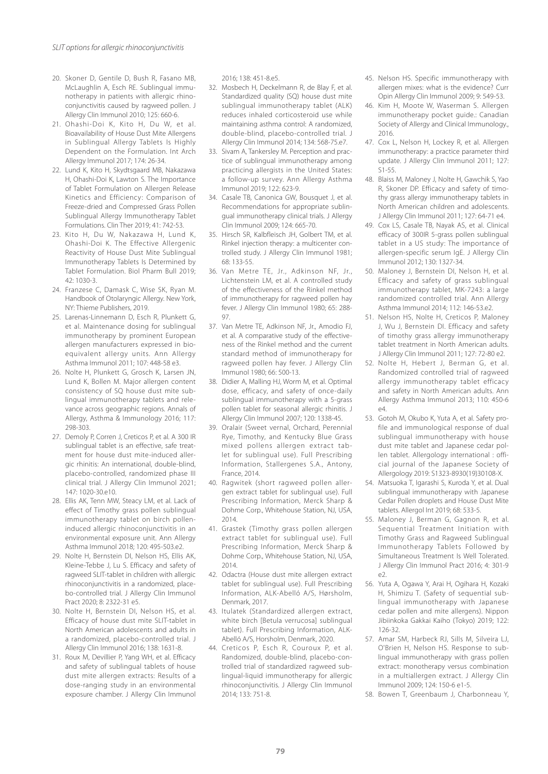- 20. Skoner D, Gentile D, Bush R, Fasano MB, McLaughlin A, Esch RE. Sublingual immunotherapy in patients with allergic rhinoconjunctivitis caused by ragweed pollen. J Allergy Clin Immunol 2010; 125: 660-6.
- 21. Ohashi-Doi K, Kito H, Du W, et al. Bioavailability of House Dust Mite Allergens in Sublingual Allergy Tablets Is Highly Dependent on the Formulation. Int Arch Allergy Immunol 2017; 174: 26-34.
- 22. Lund K, Kito H, Skydtsgaard MB, Nakazawa H, Ohashi-Doi K, Lawton S. The Importance of Tablet Formulation on Allergen Release Kinetics and Efficiency: Comparison of Freeze-dried and Compressed Grass Pollen Sublingual Allergy Immunotherapy Tablet Formulations. Clin Ther 2019; 41: 742-53.
- 23. Kito H, Du W, Nakazawa H, Lund K, Ohashi-Doi K. The Effective Allergenic Reactivity of House Dust Mite Sublingual Immunotherapy Tablets Is Determined by Tablet Formulation. Biol Pharm Bull 2019; 42: 1030-3.
- 24. Franzese C, Damask C, Wise SK, Ryan M. Handbook of Otolaryngic Allergy. New York, NY: Thieme Publishers, 2019.
- 25. Larenas-Linnemann D, Esch R, Plunkett G, et al. Maintenance dosing for sublingual immunotherapy by prominent European allergen manufacturers expressed in bioequivalent allergy units. Ann Allergy Asthma Immunol 2011; 107: 448-58 e3.
- 26. Nolte H, Plunkett G, Grosch K, Larsen JN, Lund K, Bollen M. Major allergen content consistency of SQ house dust mite sublingual immunotherapy tablets and relevance across geographic regions. Annals of Allergy, Asthma & Immunology 2016; 117: 298-303.
- 27. Demoly P, Corren J, Creticos P, et al. A 300 IR sublingual tablet is an effective, safe treatment for house dust mite-induced allergic rhinitis: An international, double-blind, placebo-controlled, randomized phase III clinical trial. J Allergy Clin Immunol 2021; 147: 1020-30.e10.
- 28. Ellis AK, Tenn MW, Steacy LM, et al. Lack of effect of Timothy grass pollen sublingual immunotherapy tablet on birch polleninduced allergic rhinoconjunctivitis in an environmental exposure unit. Ann Allergy Asthma Immunol 2018; 120: 495-503.e2.
- 29. Nolte H, Bernstein DI, Nelson HS, Ellis AK, Kleine-Tebbe J, Lu S. Efficacy and safety of ragweed SLIT-tablet in children with allergic rhinoconjunctivitis in a randomized, placebo-controlled trial. J Allergy Clin Immunol Pract 2020; 8: 2322-31 e5.
- 30. Nolte H, Bernstein DI, Nelson HS, et al. Efficacy of house dust mite SLIT-tablet in North American adolescents and adults in a randomized, placebo-controlled trial. J Allergy Clin Immunol 2016; 138: 1631-8.
- 31. Roux M, Devillier P, Yang WH, et al. Efficacy and safety of sublingual tablets of house dust mite allergen extracts: Results of a dose-ranging study in an environmental exposure chamber. J Allergy Clin Immunol

2016; 138: 451-8.e5.

- 32. Mosbech H, Deckelmann R, de Blay F, et al. Standardized quality (SQ) house dust mite sublingual immunotherapy tablet (ALK) reduces inhaled corticosteroid use while maintaining asthma control: A randomized, double-blind, placebo-controlled trial. J Allergy Clin Immunol 2014; 134: 568-75.e7.
- 33. Sivam A, Tankersley M. Perception and practice of sublingual immunotherapy among practicing allergists in the United States: a follow-up survey. Ann Allergy Asthma Immunol 2019; 122: 623-9.
- 34. Casale TB, Canonica GW, Bousquet J, et al. Recommendations for appropriate sublingual immunotherapy clinical trials. J Allergy Clin Immunol 2009; 124: 665-70.
- 35. Hirsch SR, Kalbfleisch JH, Golbert TM, et al. Rinkel injection therapy: a multicenter controlled study. J Allergy Clin Immunol 1981; 68: 133-55.
- 36. Van Metre TE, Jr., Adkinson NF, Jr., Lichtenstein LM, et al. A controlled study of the effectiveness of the Rinkel method of immunotherapy for ragweed pollen hay fever. J Allergy Clin Immunol 1980; 65: 288- 97.
- 37. Van Metre TE, Adkinson NF, Jr., Amodio FJ, et al. A comparative study of the effectiveness of the Rinkel method and the current standard method of immunotherapy for ragweed pollen hay fever. J Allergy Clin Immunol 1980; 66: 500-13.
- 38. Didier A, Malling HJ, Worm M, et al. Optimal dose, efficacy, and safety of once-daily sublingual immunotherapy with a 5-grass pollen tablet for seasonal allergic rhinitis. J Allergy Clin Immunol 2007; 120: 1338-45.
- 39. Oralair (Sweet vernal, Orchard, Perennial Rye, Timothy, and Kentucky Blue Grass mixed pollens allergen extract tablet for sublingual use). Full Prescribing Information, Stallergenes S.A., Antony, France, 2014.
- 40. Ragwitek (short ragweed pollen allergen extract tablet for sublingual use). Full Prescribing Information, Merck Sharp & Dohme Corp., Whitehouse Station, NJ, USA, 2014.
- 41. Grastek (Timothy grass pollen allergen extract tablet for sublingual use). Full Prescribing Information, Merck Sharp & Dohme Corp., Whitehouse Station, NJ, USA, 2014.
- 42. Odactra (House dust mite allergen extract tablet for sublingual use). Full Prescribing Information, ALK-Abelló A/S, Hørsholm, Denmark, 2017.
- 43. Itulatek (Standardized allergen extract, white birch [Betula verrucosa] sublingual tablet). Full Prescribing Information, ALK-Abelló A/S, Horsholm, Denmark, 2020.
- 44. Creticos P, Esch R, Couroux P, et al. Randomized, double-blind, placebo-controlled trial of standardized ragweed sublingual-liquid immunotherapy for allergic rhinoconjunctivitis. J Allergy Clin Immunol 2014; 133: 751-8.
- 45. Nelson HS. Specific immunotherapy with allergen mixes: what is the evidence? Curr Opin Allergy Clin Immunol 2009; 9: 549-53.
- 46. Kim H, Moote W, Waserman S. Allergen immunotherapy pocket guide.: Canadian Society of Allergy and Clinical Immunology., 2016.
- 47. Cox L, Nelson H, Lockey R, et al. Allergen immunotherapy: a practice parameter third update. J Allergy Clin Immunol 2011; 127: S1-55.
- 48. Blaiss M, Maloney J, Nolte H, Gawchik S, Yao R, Skoner DP. Efficacy and safety of timothy grass allergy immunotherapy tablets in North American children and adolescents. J Allergy Clin Immunol 2011; 127: 64-71 e4.
- 49. Cox LS, Casale TB, Nayak AS, et al. Clinical efficacy of 300IR 5-grass pollen sublingual tablet in a US study: The importance of allergen-specific serum IgE. J Allergy Clin Immunol 2012; 130: 1327-34.
- 50. Maloney J, Bernstein DI, Nelson H, et al. Efficacy and safety of grass sublingual immunotherapy tablet, MK-7243: a large randomized controlled trial. Ann Allergy Asthma Immunol 2014; 112: 146-53.e2.
- 51. Nelson HS, Nolte H, Creticos P, Maloney J, Wu J, Bernstein DI. Efficacy and safety of timothy grass allergy immunotherapy tablet treatment in North American adults. J Allergy Clin Immunol 2011; 127: 72-80 e2.
- 52. Nolte H, Hebert J, Berman G, et al. Randomized controlled trial of ragweed allergy immunotherapy tablet efficacy and safety in North American adults. Ann Allergy Asthma Immunol 2013; 110: 450-6  $\mathsf{P}4$
- 53. Gotoh M, Okubo K, Yuta A, et al. Safety profile and immunological response of dual sublingual immunotherapy with house dust mite tablet and Japanese cedar pollen tablet. Allergology international : official journal of the Japanese Society of Allergology 2019: S1323-8930(19)30108-X.
- 54. Matsuoka T, Igarashi S, Kuroda Y, et al. Dual sublingual immunotherapy with Japanese Cedar Pollen droplets and House Dust Mite tablets. Allergol Int 2019; 68: 533-5.
- 55. Maloney J, Berman G, Gagnon R, et al. Sequential Treatment Initiation with Timothy Grass and Ragweed Sublingual Immunotherapy Tablets Followed by Simultaneous Treatment Is Well Tolerated. J Allergy Clin Immunol Pract 2016; 4: 301-9  $\rho$
- 56. Yuta A, Ogawa Y, Arai H, Ogihara H, Kozaki H, Shimizu T. (Safety of sequential sublingual immunotherapy with Japanese cedar pollen and mite allergens). Nippon Jibiinkoka Gakkai Kaiho (Tokyo) 2019; 122: 126-32.
- 57. Amar SM, Harbeck RJ, Sills M, Silveira LJ, O'Brien H, Nelson HS. Response to sublingual immunotherapy with grass pollen extract: monotherapy versus combination in a multiallergen extract. J Allergy Clin Immunol 2009; 124: 150-6 e1-5.
- 58. Bowen T, Greenbaum J, Charbonneau Y,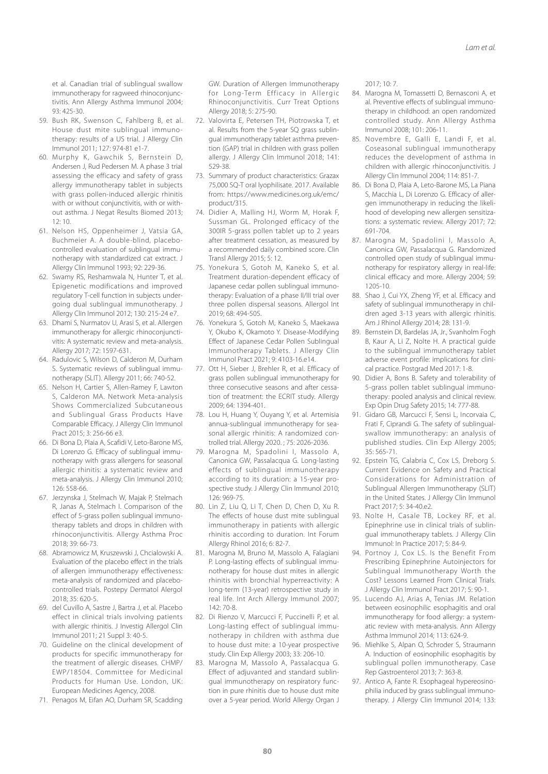et al. Canadian trial of sublingual swallow immunotherapy for ragweed rhinoconjunctivitis. Ann Allergy Asthma Immunol 2004; 93: 425-30.

- 59. Bush RK, Swenson C, Fahlberg B, et al. House dust mite sublingual immunotherapy: results of a US trial. J Allergy Clin Immunol 2011; 127: 974-81 e1-7.
- 60. Murphy K, Gawchik S, Bernstein D, Andersen J, Rud Pedersen M. A phase 3 trial assessing the efficacy and safety of grass allergy immunotherapy tablet in subjects with grass pollen-induced allergic rhinitis with or without conjunctivitis, with or without asthma. J Negat Results Biomed 2013;  $12.10$
- 61. Nelson HS, Oppenheimer J, Vatsia GA, Buchmeier A. A double-blind, placebocontrolled evaluation of sublingual immunotherapy with standardized cat extract. J Allergy Clin Immunol 1993; 92: 229-36.
- 62. Swamy RS, Reshamwala N, Hunter T, et al. Epigenetic modifications and improved regulatory T-cell function in subjects undergoing dual sublingual immunotherapy. J Allergy Clin Immunol 2012; 130: 215-24 e7.
- 63. Dhami S, Nurmatov U, Arasi S, et al. Allergen immunotherapy for allergic rhinoconjunctivitis: A systematic review and meta-analysis. Allergy 2017; 72: 1597-631.
- 64. Radulovic S, Wilson D, Calderon M, Durham S. Systematic reviews of sublingual immunotherapy (SLIT). Allergy 2011; 66: 740-52.
- 65. Nelson H, Cartier S, Allen-Ramey F, Lawton S, Calderon MA. Network Meta-analysis Shows Commercialized Subcutaneous and Sublingual Grass Products Have Comparable Efficacy. J Allergy Clin Immunol Pract 2015; 3: 256-66 e3.
- 66. Di Bona D, Plaia A, Scafidi V, Leto-Barone MS, Di Lorenzo G. Efficacy of sublingual immunotherapy with grass allergens for seasonal allergic rhinitis: a systematic review and meta-analysis. J Allergy Clin Immunol 2010; 126: 558-66.
- 67. Jerzynska J, Stelmach W, Majak P, Stelmach R, Janas A, Stelmach I. Comparison of the effect of 5-grass pollen sublingual immunotherapy tablets and drops in children with rhinoconjunctivitis. Allergy Asthma Proc 2018; 39: 66-73.
- 68. Abramowicz M, Kruszewski J, Chcialowski A. Evaluation of the placebo effect in the trials of allergen immunotherapy effectiveness: meta-analysis of randomized and placebocontrolled trials. Postepy Dermatol Alergol 2018; 35: 620-5.
- 69. del Cuvillo A, Sastre J, Bartra J, et al. Placebo effect in clinical trials involving patients with allergic rhinitis. J Investig Allergol Clin Immunol 2011; 21 Suppl 3: 40-5.
- 70. Guideline on the clinical development of products for specific immunotherapy for the treatment of allergic diseases. CHMP/ EWP/18504. Committee for Medicinal Products for Human Use. London, UK: European Medicines Agency, 2008.
- 71. Penagos M, Eifan AO, Durham SR, Scadding

GW. Duration of Allergen Immunotherapy for Long-Term Efficacy in Allergic Rhinoconjunctivitis. Curr Treat Options Allergy 2018; 5: 275-90.

- 72. Valovirta E, Petersen TH, Piotrowska T, et al. Results from the 5-year SQ grass sublingual immunotherapy tablet asthma prevention (GAP) trial in children with grass pollen allergy. J Allergy Clin Immunol 2018; 141: 529-38.
- 73. Summary of product characteristics: Grazax 75,000 SQ-T oral lyophilisate. 2017. Available from: https://www.medicines.org.uk/emc/ product/315.
- 74. Didier A, Malling HJ, Worm M, Horak F, Sussman GL. Prolonged efficacy of the 300IR 5-grass pollen tablet up to 2 years after treatment cessation, as measured by a recommended daily combined score. Clin Transl Allergy 2015; 5: 12.
- 75. Yonekura S, Gotoh M, Kaneko S, et al. Treatment duration-dependent efficacy of Japanese cedar pollen sublingual immunotherapy: Evaluation of a phase II/III trial over three pollen dispersal seasons. Allergol Int 2019; 68: 494-505.
- 76. Yonekura S, Gotoh M, Kaneko S, Maekawa Y, Okubo K, Okamoto Y. Disease-Modifying Effect of Japanese Cedar Pollen Sublingual Immunotherapy Tablets. J Allergy Clin Immunol Pract 2021; 9: 4103-16.e14.
- 77. Ott H, Sieber J, Brehler R, et al. Efficacy of grass pollen sublingual immunotherapy for three consecutive seasons and after cessation of treatment: the ECRIT study. Allergy 2009; 64: 1394-401.
- 78. Lou H, Huang Y, Ouyang Y, et al. Artemisia annua-sublingual immunotherapy for seasonal allergic rhinitis: A randomized controlled trial. Allergy 2020. ; 75: 2026-2036.
- 79. Marogna M, Spadolini I, Massolo A, Canonica GW, Passalacqua G. Long-lasting effects of sublingual immunotherapy according to its duration: a 15-year prospective study. J Allergy Clin Immunol 2010; 126: 969-75.
- 80. Lin Z, Liu Q, Li T, Chen D, Chen D, Xu R. The effects of house dust mite sublingual immunotherapy in patients with allergic rhinitis according to duration. Int Forum Allergy Rhinol 2016; 6: 82-7.
- 81. Marogna M, Bruno M, Massolo A, Falagiani P. Long-lasting effects of sublingual immunotherapy for house dust mites in allergic rhinitis with bronchial hyperreactivity: A long-term (13-year) retrospective study in real life. Int Arch Allergy Immunol 2007; 142: 70-8.
- 82. Di Rienzo V, Marcucci F, Puccinelli P, et al. Long-lasting effect of sublingual immunotherapy in children with asthma due to house dust mite: a 10-year prospective study. Clin Exp Allergy 2003; 33: 206-10.
- 83. Marogna M, Massolo A, Passalacqua G. Effect of adjuvanted and standard sublingual immunotherapy on respiratory function in pure rhinitis due to house dust mite over a 5-year period. World Allergy Organ J

2017; 10: 7.

- 84. Marogna M, Tomassetti D, Bernasconi A, et al. Preventive effects of sublingual immunotherapy in childhood: an open randomized controlled study. Ann Allergy Asthma Immunol 2008; 101: 206-11.
- 85. Novembre E, Galli E, Landi F, et al. Coseasonal sublingual immunotherapy reduces the development of asthma in children with allergic rhinoconjunctivitis. J Allergy Clin Immunol 2004; 114: 851-7.
- 86. Di Bona D, Plaia A, Leto-Barone MS, La Piana S, Macchia L, Di Lorenzo G. Efficacy of allergen immunotherapy in reducing the likelihood of developing new allergen sensitizations: a systematic review. Allergy 2017; 72: 691-704.
- 87. Marogna M, Spadolini I, Massolo A, Canonica GW, Passalacqua G. Randomized controlled open study of sublingual immunotherapy for respiratory allergy in real-life: clinical efficacy and more. Allergy 2004; 59: 1205-10.
- 88. Shao J, Cui YX, Zheng YF, et al. Efficacy and safety of sublingual immunotherapy in children aged 3-13 years with allergic rhinitis. Am J Rhinol Allergy 2014; 28: 131-9.
- 89. Bernstein DI, Bardelas JA, Jr., Svanholm Fogh B, Kaur A, Li Z, Nolte H. A practical guide to the sublingual immunotherapy tablet adverse event profile: implications for clinical practice. Postgrad Med 2017: 1-8.
- 90. Didier A, Bons B. Safety and tolerability of 5-grass pollen tablet sublingual immunotherapy: pooled analysis and clinical review. Exp Opin Drug Safety 2015; 14: 777-88.
- 91. Gidaro GB, Marcucci F, Sensi L, Incorvaia C, Frati F, Ciprandi G. The safety of sublingualswallow immunotherapy: an analysis of published studies. Clin Exp Allergy 2005; 35: 565-71.
- 92. Epstein TG, Calabria C, Cox LS, Dreborg S. Current Evidence on Safety and Practical Considerations for Administration of Sublingual Allergen Immunotherapy (SLIT) in the United States. J Allergy Clin Immunol Pract 2017; 5: 34-40.e2.
- 93. Nolte H, Casale TB, Lockey RF, et al. Epinephrine use in clinical trials of sublingual immunotherapy tablets. J Allergy Clin Immunol: In Practice 2017; 5: 84-9.
- 94. Portnoy J, Cox LS. Is the Benefit From Prescribing Epinephrine Autoinjectors for Sublingual Immunotherapy Worth the Cost? Lessons Learned From Clinical Trials. J Allergy Clin Immunol Pract 2017; 5: 90-1.
- 95. Lucendo AJ, Arias A, Tenias JM. Relation between eosinophilic esophagitis and oral immunotherapy for food allergy: a systematic review with meta-analysis. Ann Allergy Asthma Immunol 2014; 113: 624-9.
- 96. Miehlke S, Alpan O, Schroder S, Straumann A. Induction of eosinophilic esophagitis by sublingual pollen immunotherapy. Case Rep Gastroenterol 2013; 7: 363-8.
- 97. Antico A, Fante R. Esophageal hypereosinophilia induced by grass sublingual immunotherapy. J Allergy Clin Immunol 2014; 133: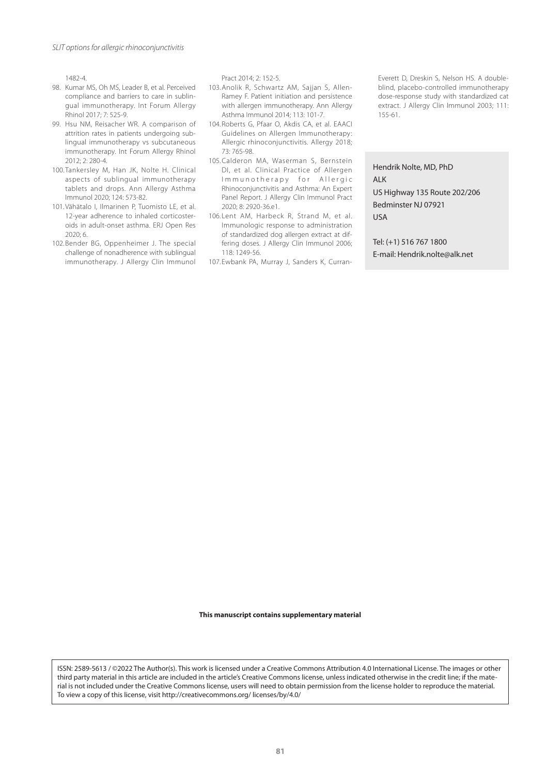1482-4.

- 98. Kumar MS, Oh MS, Leader B, et al. Perceived compliance and barriers to care in sublingual immunotherapy. Int Forum Allergy Rhinol 2017; 7: 525-9.
- 99. Hsu NM, Reisacher WR. A comparison of attrition rates in patients undergoing sublingual immunotherapy vs subcutaneous immunotherapy. Int Forum Allergy Rhinol 2012; 2: 280-4.
- 100. Tankersley M, Han JK, Nolte H. Clinical aspects of sublingual immunotherapy tablets and drops. Ann Allergy Asthma Immunol 2020; 124: 573-82.
- 101.Vähätalo I, Ilmarinen P, Tuomisto LE, et al. 12-year adherence to inhaled corticosteroids in adult-onset asthma. ERJ Open Res 2020; 6.
- 102.Bender BG, Oppenheimer J. The special challenge of nonadherence with sublingual immunotherapy. J Allergy Clin Immunol

Pract 2014; 2: 152-5.

- 103.Anolik R, Schwartz AM, Sajjan S, Allen-Ramey F. Patient initiation and persistence with allergen immunotherapy. Ann Allergy Asthma Immunol 2014; 113: 101-7.
- 104.Roberts G, Pfaar O, Akdis CA, et al. EAACI Guidelines on Allergen Immunotherapy: Allergic rhinoconjunctivitis. Allergy 2018; 73: 765-98.
- 105.Calderon MA, Waserman S, Bernstein DI, et al. Clinical Practice of Allergen Immunotherapy for Allergic Rhinoconjunctivitis and Asthma: An Expert Panel Report. J Allergy Clin Immunol Pract 2020; 8: 2920-36.e1.
- 106. Lent AM, Harbeck R, Strand M, et al. Immunologic response to administration of standardized dog allergen extract at differing doses. J Allergy Clin Immunol 2006; 118: 1249-56.

107. Ewbank PA, Murray J, Sanders K, Curran-

Everett D, Dreskin S, Nelson HS. A doubleblind, placebo-controlled immunotherapy dose-response study with standardized cat extract. J Allergy Clin Immunol 2003; 111: 155-61.

Hendrik Nolte, MD, PhD ALK US Highway 135 Route 202/206 Bedminster NJ 07921 USA

Tel: (+1) 516 767 1800 E-mail: Hendrik.nolte@alk.net

**This manuscript contains supplementary material**

ISSN: 2589-5613 / ©2022 The Author(s). This work is licensed under a Creative Commons Attribution 4.0 International License. The images or other third party material in this article are included in the article's Creative Commons license, unless indicated otherwise in the credit line; if the material is not included under the Creative Commons license, users will need to obtain permission from the license holder to reproduce the material. To view a copy of this license, visit http://creativecommons.org/ licenses/by/4.0/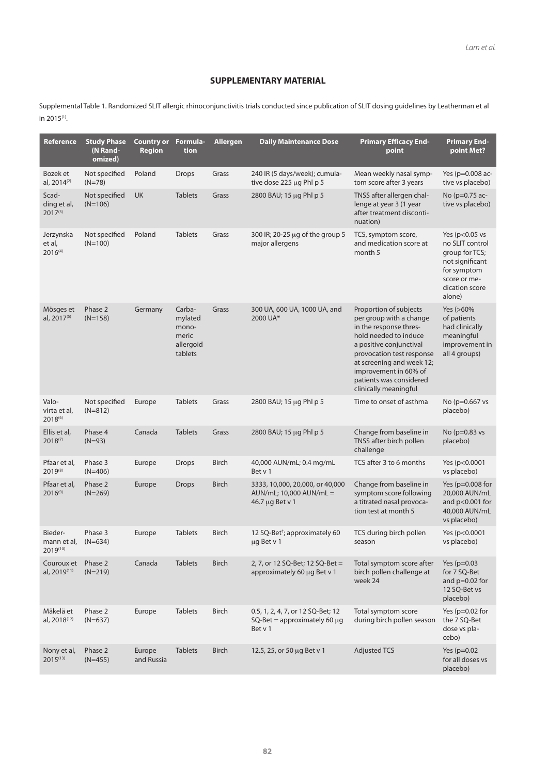# **SUPPLEMENTARY MATERIAL**

Supplemental Table 1. Randomized SLIT allergic rhinoconjunctivitis trials conducted since publication of SLIT dosing guidelines by Leatherman et al in 2015(1).

| Reference                             | <b>Study Phase</b><br>(N Rand-<br>omized) | <b>Country or</b><br><b>Region</b> | Formula-<br>tion                                            | <b>Allergen</b> | <b>Daily Maintenance Dose</b>                                                     | <b>Primary Efficacy End-</b><br>point                                                                                                                                                                                                                                  | <b>Primary End-</b><br>point Met?                                                                                                    |
|---------------------------------------|-------------------------------------------|------------------------------------|-------------------------------------------------------------|-----------------|-----------------------------------------------------------------------------------|------------------------------------------------------------------------------------------------------------------------------------------------------------------------------------------------------------------------------------------------------------------------|--------------------------------------------------------------------------------------------------------------------------------------|
| Bozek et<br>al, 2014 <sup>(2)</sup>   | Not specified<br>$(N=78)$                 | Poland                             | <b>Drops</b>                                                | Grass           | 240 IR (5 days/week); cumula-<br>tive dose 225 µg Phl p 5                         | Mean weekly nasal symp-<br>tom score after 3 years                                                                                                                                                                                                                     | Yes (p=0.008 ac-<br>tive vs placebo)                                                                                                 |
| Scad-<br>ding et al,<br>$2017^{(3)}$  | Not specified<br>$(N=106)$                | UK                                 | <b>Tablets</b>                                              | Grass           | 2800 BAU; 15 µg Phl p 5                                                           | TNSS after allergen chal-<br>lenge at year 3 (1 year<br>after treatment disconti-<br>nuation)                                                                                                                                                                          | No (p=0.75 ac-<br>tive vs placebo)                                                                                                   |
| Jerzynska<br>et al,<br>$2016^{(4)}$   | Not specified<br>$(N=100)$                | Poland                             | <b>Tablets</b>                                              | Grass           | 300 IR; 20-25 µg of the group 5<br>major allergens                                | TCS, symptom score,<br>and medication score at<br>month 5                                                                                                                                                                                                              | Yes ( $p<0.05$ vs<br>no SLIT control<br>group for TCS;<br>not significant<br>for symptom<br>score or me-<br>dication score<br>alone) |
| Mösges et<br>al, 2017 <sup>(5)</sup>  | Phase 2<br>$(N=158)$                      | Germany                            | Carba-<br>mylated<br>mono-<br>meric<br>allergoid<br>tablets | Grass           | 300 UA, 600 UA, 1000 UA, and<br>2000 UA*                                          | Proportion of subjects<br>per group with a change<br>in the response thres-<br>hold needed to induce<br>a positive conjunctival<br>provocation test response<br>at screening and week 12;<br>improvement in 60% of<br>patients was considered<br>clinically meaningful | Yes (>60%<br>of patients<br>had clinically<br>meaningful<br>improvement in<br>all 4 groups)                                          |
| Valo-<br>virta et al,<br>$2018^{(6)}$ | Not specified<br>$(N=812)$                | Europe                             | <b>Tablets</b>                                              | Grass           | 2800 BAU; 15 µg Phl p 5                                                           | Time to onset of asthma                                                                                                                                                                                                                                                | No (p=0.667 vs<br>placebo)                                                                                                           |
| Ellis et al,<br>$2018^{(7)}$          | Phase 4<br>$(N=93)$                       | Canada                             | <b>Tablets</b>                                              | Grass           | 2800 BAU; 15 µg Phl p 5                                                           | Change from baseline in<br>TNSS after birch pollen<br>challenge                                                                                                                                                                                                        | No (p=0.83 vs<br>placebo)                                                                                                            |
| Pfaar et al,<br>2019(8)               | Phase 3<br>$(N=406)$                      | Europe                             | <b>Drops</b>                                                | <b>Birch</b>    | 40,000 AUN/mL; 0.4 mg/mL<br>Bet v 1                                               | TCS after 3 to 6 months                                                                                                                                                                                                                                                | Yes (p<0.0001<br>vs placebo)                                                                                                         |
| Pfaar et al,<br>$2016^{(9)}$          | Phase 2<br>$(N=269)$                      | Europe                             | <b>Drops</b>                                                | <b>Birch</b>    | 3333, 10,000, 20,000, or 40,000<br>AUN/mL; 10,000 AUN/mL =<br>46.7 µg Bet v 1     | Change from baseline in<br>symptom score following<br>a titrated nasal provoca-<br>tion test at month 5                                                                                                                                                                | Yes ( $p=0.008$ for<br>20,000 AUN/mL<br>and $p<0.001$ for<br>40,000 AUN/mL<br>vs placebo)                                            |
| Bieder-<br>mann et al,<br>2019(10)    | Phase 3<br>$(N=634)$                      | Europe                             | <b>Tablets</b>                                              | <b>Birch</b>    | 12 SQ-Bet <sup>+</sup> ; approximately 60<br>ug Bet v 1                           | TCS during birch pollen<br>season                                                                                                                                                                                                                                      | Yes (p<0.0001<br>vs placebo)                                                                                                         |
| Couroux et<br>al, 2019(11)            | Phase 2<br>$(N=219)$                      | Canada                             | <b>Tablets</b>                                              | <b>Birch</b>    | 2, 7, or 12 SQ-Bet; 12 SQ-Bet =<br>approximately 60 µg Bet v 1                    | Total symptom score after<br>birch pollen challenge at<br>week 24                                                                                                                                                                                                      | Yes ( $p=0.03$ )<br>for 7 SQ-Bet<br>and $p=0.02$ for<br>12 SQ-Bet vs<br>placebo)                                                     |
| Mäkelä et<br>al, 2018 <sup>(12)</sup> | Phase 2<br>$(N=637)$                      | Europe                             | <b>Tablets</b>                                              | <b>Birch</b>    | 0.5, 1, 2, 4, 7, or 12 SQ-Bet; 12<br>$SQ-Bet = approximately 60 \mu g$<br>Bet v 1 | Total symptom score<br>during birch pollen season                                                                                                                                                                                                                      | Yes ( $p=0.02$ for<br>the 7 SQ-Bet<br>dose vs pla-<br>cebo)                                                                          |
| Nony et al,<br>$2015^{(13)}$          | Phase 2<br>$(N=455)$                      | Europe<br>and Russia               | <b>Tablets</b>                                              | <b>Birch</b>    | 12.5, 25, or 50 µg Bet v 1                                                        | <b>Adjusted TCS</b>                                                                                                                                                                                                                                                    | Yes ( $p=0.02$<br>for all doses vs<br>placebo)                                                                                       |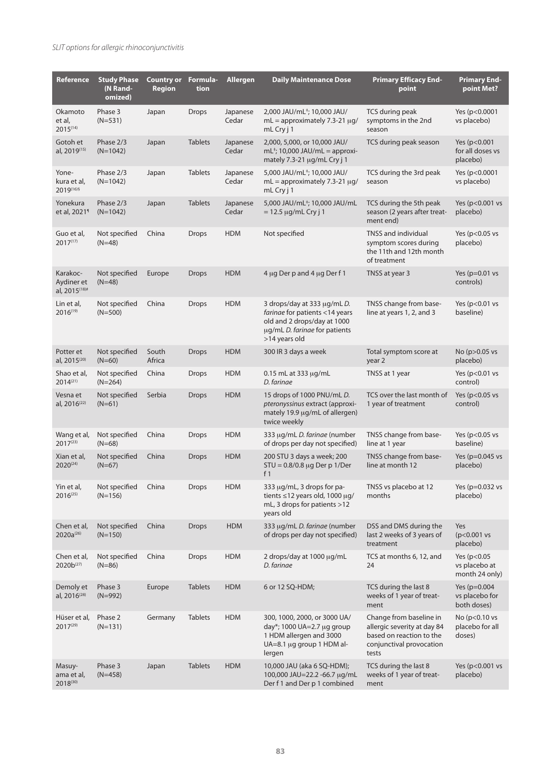| Reference                                           | <b>Study Phase</b><br>(N Rand-<br>omized) | <b>Country or</b><br><b>Region</b> | Formula-<br>tion | <b>Allergen</b>   | <b>Daily Maintenance Dose</b>                                                                                                                 | <b>Primary Efficacy End-</b><br>point                                                                                   | <b>Primary End-</b><br>point Met?                  |
|-----------------------------------------------------|-------------------------------------------|------------------------------------|------------------|-------------------|-----------------------------------------------------------------------------------------------------------------------------------------------|-------------------------------------------------------------------------------------------------------------------------|----------------------------------------------------|
| Okamoto<br>et al,<br>$2015^{(14)}$                  | Phase 3<br>$(N=531)$                      | Japan                              | <b>Drops</b>     | Japanese<br>Cedar | 2,000 JAU/mL <sup>‡</sup> ; 10,000 JAU/<br>$mL =$ approximately 7.3-21 $\mu$ g/<br>mL Cry j 1                                                 | TCS during peak<br>symptoms in the 2nd<br>season                                                                        | Yes (p<0.0001<br>vs placebo)                       |
| Gotoh et<br>al, 2019 <sup>(15)</sup>                | Phase 2/3<br>$(N=1042)$                   | Japan                              | <b>Tablets</b>   | Japanese<br>Cedar | 2,000, 5,000, or 10,000 JAU/<br>$mL^{\dagger}$ ; 10,000 JAU/mL = approxi-<br>mately 7.3-21 µg/mL Cry j 1                                      | TCS during peak season                                                                                                  | Yes (p<0.001<br>for all doses vs<br>placebo)       |
| Yone-<br>kura et al,<br>2019(16)§                   | Phase 2/3<br>$(N=1042)$                   | Japan                              | <b>Tablets</b>   | Japanese<br>Cedar | 5,000 JAU/mL <sup>‡</sup> ; 10,000 JAU/<br>$mL =$ approximately 7.3-21 $\mu$ g/<br>mL Cry j 1                                                 | TCS during the 3rd peak<br>season                                                                                       | Yes (p<0.0001<br>vs placebo)                       |
| Yonekura<br>et al, 2021 <sup>1</sup>                | Phase 2/3<br>$(N=1042)$                   | Japan                              | <b>Tablets</b>   | Japanese<br>Cedar | 5,000 JAU/mL <sup>+</sup> ; 10,000 JAU/mL<br>$= 12.5 \mu g/mL$ Cry j 1                                                                        | TCS during the 5th peak<br>season (2 years after treat-<br>ment end)                                                    | Yes (p<0.001 vs<br>placebo)                        |
| Guo et al,<br>$2017^{(17)}$                         | Not specified<br>$(N=48)$                 | China                              | Drops            | <b>HDM</b>        | Not specified                                                                                                                                 | TNSS and individual<br>symptom scores during<br>the 11th and 12th month<br>of treatment                                 | Yes ( $p < 0.05$ vs<br>placebo)                    |
| Karakoc-<br>Aydiner et<br>al, 2015 <sup>(18)#</sup> | Not specified<br>$(N=48)$                 | Europe                             | <b>Drops</b>     | <b>HDM</b>        | 4 µg Der p and 4 µg Der f 1                                                                                                                   | TNSS at year 3                                                                                                          | Yes ( $p=0.01$ vs<br>controls)                     |
| Lin et al,<br>$2016^{(19)}$                         | Not specified<br>$(N=500)$                | China                              | <b>Drops</b>     | <b>HDM</b>        | 3 drops/day at 333 µg/mLD.<br>farinae for patients <14 years<br>old and 2 drops/day at 1000<br>µg/mL D. farinae for patients<br>>14 years old | TNSS change from base-<br>line at years 1, 2, and 3                                                                     | Yes ( $p<0.01$ vs<br>baseline)                     |
| Potter et<br>al, 2015 <sup>(20)</sup>               | Not specified<br>$(N=60)$                 | South<br>Africa                    | <b>Drops</b>     | <b>HDM</b>        | 300 IR 3 days a week                                                                                                                          | Total symptom score at<br>year 2                                                                                        | No (p>0.05 vs<br>placebo)                          |
| Shao et al,<br>$2014^{(21)}$                        | Not specified<br>$(N=264)$                | China                              | Drops            | <b>HDM</b>        | 0.15 mL at 333 µg/mL<br>D. faringe                                                                                                            | TNSS at 1 year                                                                                                          | Yes ( $p<0.01$ vs<br>control)                      |
| Vesna et<br>al, 2016 <sup>(22)</sup>                | Not specified<br>$(N=61)$                 | Serbia                             | <b>Drops</b>     | <b>HDM</b>        | 15 drops of 1000 PNU/mLD.<br>pteronyssinus extract (approxi-<br>mately 19.9 µg/mL of allergen)<br>twice weekly                                | TCS over the last month of<br>1 year of treatment                                                                       | Yes ( $p<0.05$ vs<br>control)                      |
| Wang et al,<br>$2017^{(23)}$                        | Not specified<br>$(N=68)$                 | China                              | <b>Drops</b>     | <b>HDM</b>        | 333 µg/mLD. farinae (number<br>of drops per day not specified)                                                                                | TNSS change from base-<br>line at 1 year                                                                                | Yes ( $p < 0.05$ vs<br>baseline)                   |
| Xian et al,<br>$2020^{(24)}$                        | Not specified<br>$(N=67)$                 | China                              | <b>Drops</b>     | <b>HDM</b>        | 200 STU 3 days a week; 200<br>$STU = 0.8/0.8 \mu g$ Der p 1/Der<br>f $1$                                                                      | TNSS change from base-<br>line at month 12                                                                              | Yes (p=0.045 vs<br>placebo)                        |
| Yin et al,<br>$2016^{(25)}$                         | Not specified<br>$(N=156)$                | China                              | Drops            | <b>HDM</b>        | 333 µg/mL, 3 drops for pa-<br>tients $\leq$ 12 years old, 1000 µg/<br>mL, 3 drops for patients >12<br>years old                               | TNSS vs placebo at 12<br>months                                                                                         | Yes (p=0.032 vs<br>placebo)                        |
| Chen et al,<br>$2020a^{(26)}$                       | Not specified<br>$(N=150)$                | China                              | <b>Drops</b>     | <b>HDM</b>        | 333 µg/mL D. farinae (number<br>of drops per day not specified)                                                                               | DSS and DMS during the<br>last 2 weeks of 3 years of<br>treatment                                                       | Yes<br>$(p<0.001$ vs<br>placebo)                   |
| Chen et al,<br>$2020b^{(27)}$                       | Not specified<br>$(N=86)$                 | China                              | Drops            | <b>HDM</b>        | 2 drops/day at 1000 µg/mL<br>D. faringe                                                                                                       | TCS at months 6, 12, and<br>24                                                                                          | Yes (p<0.05<br>vs placebo at<br>month 24 only)     |
| Demoly et<br>al, 2016 <sup>(28)</sup>               | Phase 3<br>$(N=992)$                      | Europe                             | <b>Tablets</b>   | <b>HDM</b>        | 6 or 12 SQ-HDM;                                                                                                                               | TCS during the last 8<br>weeks of 1 year of treat-<br>ment                                                              | Yes ( $p=0.004$ )<br>vs placebo for<br>both doses) |
| Hüser et al,<br>$2017^{(29)}$                       | Phase 2<br>$(N=131)$                      | Germany                            | <b>Tablets</b>   | <b>HDM</b>        | 300, 1000, 2000, or 3000 UA/<br>day*; 1000 UA=2.7 µg group<br>1 HDM allergen and 3000<br>UA=8.1 µg group 1 HDM al-<br>lergen                  | Change from baseline in<br>allergic severity at day 84<br>based on reaction to the<br>conjunctival provocation<br>tests | No (p<0.10 vs<br>placebo for all<br>doses)         |
| Masuy-<br>ama et al,<br>2018(30)                    | Phase 3<br>(N=458)                        | Japan                              | <b>Tablets</b>   | <b>HDM</b>        | 10,000 JAU (aka 6 SQ-HDM);<br>100,000 JAU=22.2 -66.7 µg/mL<br>Der f 1 and Der p 1 combined                                                    | TCS during the last 8<br>weeks of 1 year of treat-<br>ment                                                              | Yes (p<0.001 vs<br>placebo)                        |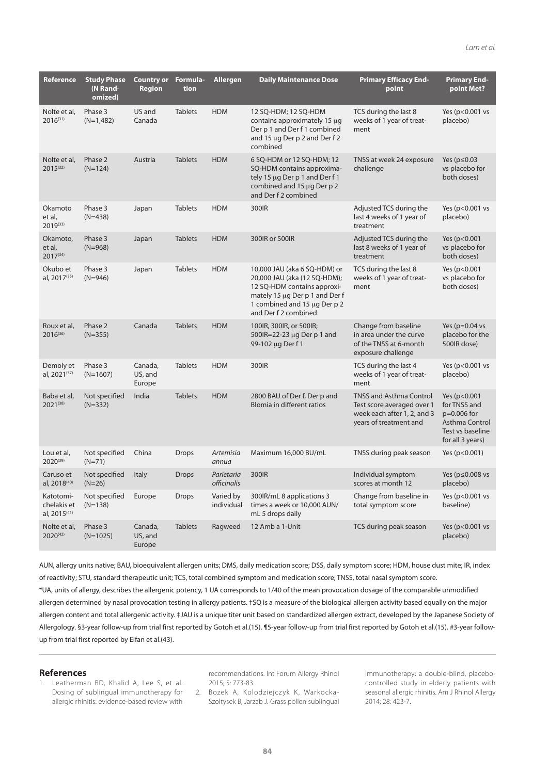| Reference                                            | <b>Study Phase</b><br>(N Rand-<br>omized) | <b>Country or</b><br><b>Region</b> | Formula-<br>tion | <b>Allergen</b>           | <b>Daily Maintenance Dose</b>                                                                                                                                                         | <b>Primary Efficacy End-</b><br>point                                                                                 | <b>Primary End-</b><br>point Met?                                                                       |
|------------------------------------------------------|-------------------------------------------|------------------------------------|------------------|---------------------------|---------------------------------------------------------------------------------------------------------------------------------------------------------------------------------------|-----------------------------------------------------------------------------------------------------------------------|---------------------------------------------------------------------------------------------------------|
| Nolte et al,<br>$2016^{(31)}$                        | Phase 3<br>$(N=1,482)$                    | US and<br>Canada                   | <b>Tablets</b>   | <b>HDM</b>                | 12 SQ-HDM; 12 SQ-HDM<br>contains approximately 15 µg<br>Der p 1 and Der f 1 combined<br>and 15 µg Der p 2 and Der f 2<br>combined                                                     | TCS during the last 8<br>weeks of 1 year of treat-<br>ment                                                            | Yes (p<0.001 vs<br>placebo)                                                                             |
| Nolte et al,<br>$2015^{(32)}$                        | Phase 2<br>$(N=124)$                      | Austria                            | <b>Tablets</b>   | <b>HDM</b>                | 6 SQ-HDM or 12 SQ-HDM; 12<br>SQ-HDM contains approxima-<br>tely 15 µg Der p 1 and Der f 1<br>combined and 15 µg Der p 2<br>and Der f 2 combined                                       | TNSS at week 24 exposure<br>challenge                                                                                 | Yes ( $p \le 0.03$<br>vs placebo for<br>both doses)                                                     |
| Okamoto<br>et al.<br>2019(33)                        | Phase 3<br>$(N=438)$                      | Japan                              | <b>Tablets</b>   | <b>HDM</b>                | 300IR                                                                                                                                                                                 | Adjusted TCS during the<br>last 4 weeks of 1 year of<br>treatment                                                     | Yes (p<0.001 vs<br>placebo)                                                                             |
| Okamoto,<br>et al,<br>2017(34)                       | Phase 3<br>$(N=968)$                      | Japan                              | <b>Tablets</b>   | <b>HDM</b>                | 300IR or 500IR                                                                                                                                                                        | Adjusted TCS during the<br>last 8 weeks of 1 year of<br>treatment                                                     | Yes (p<0.001<br>vs placebo for<br>both doses)                                                           |
| Okubo et<br>al, 2017 <sup>(35)</sup>                 | Phase 3<br>$(N=946)$                      | Japan                              | <b>Tablets</b>   | <b>HDM</b>                | 10,000 JAU (aka 6 SQ-HDM) or<br>20,000 JAU (aka (12 SQ-HDM);<br>12 SQ-HDM contains approxi-<br>mately 15 µg Der p 1 and Der f<br>1 combined and 15 µg Der p 2<br>and Der f 2 combined | TCS during the last 8<br>weeks of 1 year of treat-<br>ment                                                            | Yes (p<0.001<br>vs placebo for<br>both doses)                                                           |
| Roux et al,<br>$2016^{(36)}$                         | Phase 2<br>$(N=355)$                      | Canada                             | <b>Tablets</b>   | <b>HDM</b>                | 100IR, 300IR, or 500IR;<br>500IR=22-23 µg Der p 1 and<br>99-102 µg Der f 1                                                                                                            | Change from baseline<br>in area under the curve<br>of the TNSS at 6-month<br>exposure challenge                       | Yes ( $p=0.04$ vs<br>placebo for the<br>500IR dose)                                                     |
| Demoly et<br>al, 2021 <sup>(37)</sup>                | Phase 3<br>$(N=1607)$                     | Canada,<br>US, and<br>Europe       | <b>Tablets</b>   | <b>HDM</b>                | 300IR                                                                                                                                                                                 | TCS during the last 4<br>weeks of 1 year of treat-<br>ment                                                            | Yes (p<0.001 vs<br>placebo)                                                                             |
| Baba et al,<br>$2021^{(38)}$                         | Not specified<br>$(N=332)$                | India                              | <b>Tablets</b>   | <b>HDM</b>                | 2800 BAU of Der f, Der p and<br>Blomia in different ratios                                                                                                                            | <b>TNSS and Asthma Control</b><br>Test score averaged over 1<br>week each after 1, 2, and 3<br>years of treatment and | Yes (p<0.001<br>for TNSS and<br>$p=0.006$ for<br>Asthma Control<br>Test vs baseline<br>for all 3 years) |
| Lou et al,<br>2020(39)                               | Not specified<br>$(N=71)$                 | China                              | <b>Drops</b>     | Artemisia<br>annua        | Maximum 16,000 BU/mL                                                                                                                                                                  | TNSS during peak season                                                                                               | Yes (p<0.001)                                                                                           |
| Caruso et<br>al, 2018(40)                            | Not specified<br>$(N=26)$                 | Italy                              | <b>Drops</b>     | Parietaria<br>officinalis | 300IR                                                                                                                                                                                 | Individual symptom<br>scores at month 12                                                                              | Yes (p≤0.008 vs<br>placebo)                                                                             |
| Katotomi-<br>chelakis et<br>al, 2015 <sup>(41)</sup> | Not specified<br>$(N=138)$                | Europe                             | <b>Drops</b>     | Varied by<br>individual   | 300IR/mL 8 applications 3<br>times a week or 10,000 AUN/<br>mL 5 drops daily                                                                                                          | Change from baseline in<br>total symptom score                                                                        | Yes (p<0.001 vs<br>baseline)                                                                            |
| Nolte et al,<br>$2020^{(42)}$                        | Phase 3<br>$(N=1025)$                     | Canada,<br>US, and<br>Europe       | <b>Tablets</b>   | Ragweed                   | 12 Amb a 1-Unit                                                                                                                                                                       | TCS during peak season                                                                                                | Yes (p<0.001 vs<br>placebo)                                                                             |

AUN, allergy units native; BAU, bioequivalent allergen units; DMS, daily medication score; DSS, daily symptom score; HDM, house dust mite; IR, index of reactivity; STU, standard therapeutic unit; TCS, total combined symptom and medication score; TNSS, total nasal symptom score. \*UA, units of allergy, describes the allergenic potency, 1 UA corresponds to 1/40 of the mean provocation dosage of the comparable unmodified allergen determined by nasal provocation testing in allergy patients. †SQ is a measure of the biological allergen activity based equally on the major allergen content and total allergenic activity. ‡JAU is a unique titer unit based on standardized allergen extract, developed by the Japanese Society of Allergology. §3-year follow-up from trial first reported by Gotoh et al.(15). ¶5-year follow-up from trial first reported by Gotoh et al.(15). #3-year followup from trial first reported by Eifan et al.(43).

#### **References**

1. Leatherman BD, Khalid A, Lee S, et al. Dosing of sublingual immunotherapy for allergic rhinitis: evidence-based review with

recommendations. Int Forum Allergy Rhinol 2015; 5: 773-83.

2. Bozek A, Kolodziejczyk K, Warkocka-Szoltysek B, Jarzab J. Grass pollen sublingual immunotherapy: a double-blind, placebocontrolled study in elderly patients with seasonal allergic rhinitis. Am J Rhinol Allergy 2014; 28: 423-7.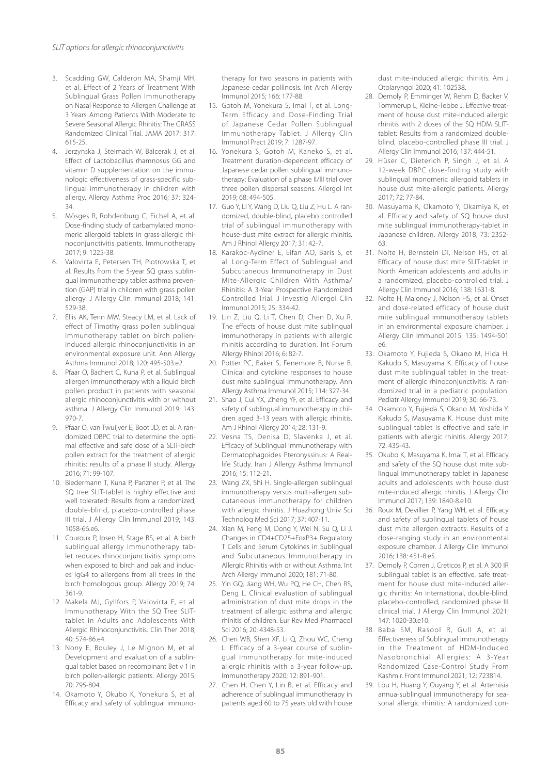- 3. Scadding GW, Calderon MA, Shamji MH, et al. Effect of 2 Years of Treatment With Sublingual Grass Pollen Immunotherapy on Nasal Response to Allergen Challenge at 3 Years Among Patients With Moderate to Severe Seasonal Allergic Rhinitis: The GRASS Randomized Clinical Trial. JAMA 2017; 317: 615-25.
- 4. Jerzynska J, Stelmach W, Balcerak J, et al. Effect of Lactobacillus rhamnosus GG and vitamin D supplementation on the immunologic effectiveness of grass-specific sublingual immunotherapy in children with allergy. Allergy Asthma Proc 2016; 37: 324- 34.
- 5. Mösges R, Rohdenburg C, Eichel A, et al. Dose-finding study of carbamylated monomeric allergoid tablets in grass-allergic rhinoconjunctivitis patients. Immunotherapy 2017; 9: 1225-38.
- 6. Valovirta E, Petersen TH, Piotrowska T, et al. Results from the 5-year SQ grass sublingual immunotherapy tablet asthma prevention (GAP) trial in children with grass pollen allergy. J Allergy Clin Immunol 2018; 141: 529-38.
- 7. Ellis AK, Tenn MW, Steacy LM, et al. Lack of effect of Timothy grass pollen sublingual immunotherapy tablet on birch polleninduced allergic rhinoconjunctivitis in an environmental exposure unit. Ann Allergy Asthma Immunol 2018; 120: 495-503.e2.
- 8. Pfaar O, Bachert C, Kuna P, et al. Sublingual allergen immunotherapy with a liquid birch pollen product in patients with seasonal allergic rhinoconjunctivitis with or without asthma. J Allergy Clin Immunol 2019; 143: 970-7.
- 9. Pfaar O, van Twuijver E, Boot JD, et al. A randomized DBPC trial to determine the optimal effective and safe dose of a SLIT-birch pollen extract for the treatment of allergic rhinitis: results of a phase II study. Allergy 2016; 71: 99-107.
- 10. Biedermann T, Kuna P, Panzner P, et al. The SQ tree SLIT-tablet is highly effective and well tolerated: Results from a randomized, double-blind, placebo-controlled phase III trial. J Allergy Clin Immunol 2019; 143: 1058-66.e6.
- 11. Couroux P, Ipsen H, Stage BS, et al. A birch sublingual allergy immunotherapy tablet reduces rhinoconjunctivitis symptoms when exposed to birch and oak and induces IgG4 to allergens from all trees in the birch homologous group. Allergy 2019; 74: 361-9.
- 12. Makela MJ, Gyllfors P, Valovirta E, et al. Immunotherapy With the SQ Tree SLITtablet in Adults and Adolescents With Allergic Rhinoconjunctivitis. Clin Ther 2018; 40: 574-86.e4.
- 13. Nony E, Bouley J, Le Mignon M, et al. Development and evaluation of a sublingual tablet based on recombinant Bet v 1 in birch pollen-allergic patients. Allergy 2015; 70: 795-804.
- 14. Okamoto Y, Okubo K, Yonekura S, et al. Efficacy and safety of sublingual immuno-

therapy for two seasons in patients with Japanese cedar pollinosis. Int Arch Allergy Immunol 2015; 166: 177-88.

- 15. Gotoh M, Yonekura S, Imai T, et al. Long-Term Efficacy and Dose-Finding Trial of Japanese Cedar Pollen Sublingual Immunotherapy Tablet. J Allergy Clin Immunol Pract 2019; 7: 1287-97.
- 16. Yonekura S, Gotoh M, Kaneko S, et al. Treatment duration-dependent efficacy of Japanese cedar pollen sublingual immunotherapy: Evaluation of a phase II/III trial over three pollen dispersal seasons. Allergol Int 2019; 68: 494-505.
- 17. Guo Y, Li Y, Wang D, Liu Q, Liu Z, Hu L. A randomized, double-blind, placebo controlled trial of sublingual immunotherapy with house-dust mite extract for allergic rhinitis. Am J Rhinol Allergy 2017; 31: 42-7.
- 18. Karakoc-Aydiner E, Eifan AO, Baris S, et al. Long-Term Effect of Sublingual and Subcutaneous Immunotherapy in Dust Mite-Allergic Children With Asthma/ Rhinitis: A 3-Year Prospective Randomized Controlled Trial. J Investig Allergol Clin Immunol 2015; 25: 334-42.
- 19. Lin Z, Liu Q, Li T, Chen D, Chen D, Xu R. The effects of house dust mite sublingual immunotherapy in patients with allergic rhinitis according to duration. Int Forum Allergy Rhinol 2016; 6: 82-7.
- 20. Potter PC, Baker S, Fenemore B, Nurse B. Clinical and cytokine responses to house dust mite sublingual immunotherapy. Ann Allergy Asthma Immunol 2015; 114: 327-34.
- 21. Shao J, Cui YX, Zheng YF, et al. Efficacy and safety of sublingual immunotherapy in children aged 3-13 years with allergic rhinitis. Am J Rhinol Allergy 2014; 28: 131-9.
- 22. Vesna TS, Denisa D, Slavenka J, et al. Efficacy of Sublingual Immunotherapy with Dermatophagoides Pteronyssinus: A Reallife Study. Iran J Allergy Asthma Immunol 2016; 15: 112-21.
- 23. Wang ZX, Shi H. Single-allergen sublingual immunotherapy versus multi-allergen subcutaneous immunotherapy for children with allergic rhinitis. J Huazhong Univ Sci Technolog Med Sci 2017; 37: 407-11.
- 24. Xian M, Feng M, Dong Y, Wei N, Su Q, Li J. Changes in CD4+CD25+FoxP3+ Regulatory T Cells and Serum Cytokines in Sublingual and Subcutaneous Immunotherapy in Allergic Rhinitis with or without Asthma. Int Arch Allergy Immunol 2020; 181: 71-80.
- 25. Yin GQ, Jiang WH, Wu PQ, He CH, Chen RS, Deng L. Clinical evaluation of sublingual administration of dust mite drops in the treatment of allergic asthma and allergic rhinitis of children. Eur Rev Med Pharmacol Sci 2016; 20: 4348-53.
- 26. Chen WB, Shen XF, Li Q, Zhou WC, Cheng L. Efficacy of a 3-year course of sublingual immunotherapy for mite-induced allergic rhinitis with a 3-year follow-up. Immunotherapy 2020; 12: 891-901.
- 27. Chen H, Chen Y, Lin B, et al. Efficacy and adherence of sublingual immunotherapy in patients aged 60 to 75 years old with house

dust mite-induced allergic rhinitis. Am J Otolaryngol 2020; 41: 102538.

- 28. Demoly P, Emminger W, Rehm D, Backer V, Tommerup L, Kleine-Tebbe J. Effective treatment of house dust mite-induced allergic rhinitis with 2 doses of the SQ HDM SLITtablet: Results from a randomized doubleblind, placebo-controlled phase III trial. J Allergy Clin Immunol 2016; 137: 444-51.
- 29. Hüser C, Dieterich P, Singh J, et al. A 12-week DBPC dose-finding study with sublingual monomeric allergoid tablets in house dust mite-allergic patients. Allergy 2017; 72: 77-84.
- 30. Masuyama K, Okamoto Y, Okamiya K, et al. Efficacy and safety of SQ house dust mite sublingual immunotherapy-tablet in Japanese children. Allergy 2018; 73: 2352- 63.
- 31. Nolte H, Bernstein DI, Nelson HS, et al. Efficacy of house dust mite SLIT-tablet in North American adolescents and adults in a randomized, placebo-controlled trial. J Allergy Clin Immunol 2016; 138: 1631-8.
- 32. Nolte H, Maloney J, Nelson HS, et al. Onset and dose-related efficacy of house dust mite sublingual immunotherapy tablets in an environmental exposure chamber. J Allergy Clin Immunol 2015; 135: 1494-501 e6.
- 33. Okamoto Y, Fujieda S, Okano M, Hida H, Kakudo S, Masuyama K. Efficacy of house dust mite sublingual tablet in the treatment of allergic rhinoconjunctivitis: A randomized trial in a pediatric population. Pediatr Allergy Immunol 2019; 30: 66-73.
- 34. Okamoto Y, Fujieda S, Okano M, Yoshida Y, Kakudo S, Masuyama K. House dust mite sublingual tablet is effective and safe in patients with allergic rhinitis. Allergy 2017; 72: 435-43.
- 35. Okubo K, Masuyama K, Imai T, et al. Efficacy and safety of the SQ house dust mite sublingual immunotherapy tablet in Japanese adults and adolescents with house dust mite-induced allergic rhinitis. J Allergy Clin Immunol 2017; 139: 1840-8.e10.
- 36. Roux M, Devillier P, Yang WH, et al. Efficacy and safety of sublingual tablets of house dust mite allergen extracts: Results of a dose-ranging study in an environmental exposure chamber. J Allergy Clin Immunol 2016; 138: 451-8.e5.
- 37. Demoly P, Corren J, Creticos P, et al. A 300 IR sublingual tablet is an effective, safe treatment for house dust mite-induced allergic rhinitis: An international, double-blind, placebo-controlled, randomized phase III clinical trial. J Allergy Clin Immunol 2021; 147: 1020-30.e10.
- 38. Baba SM, Rasool R, Gull A, et al. Effectiveness of Sublingual Immunotherapy in the Treatment of HDM-Induced Nasobronchial Allergies: A 3-Year Randomized Case-Control Study From Kashmir. Front Immunol 2021; 12: 723814.
- 39. Lou H, Huang Y, Ouyang Y, et al. Artemisia annua-sublingual immunotherapy for seasonal allergic rhinitis: A randomized con-